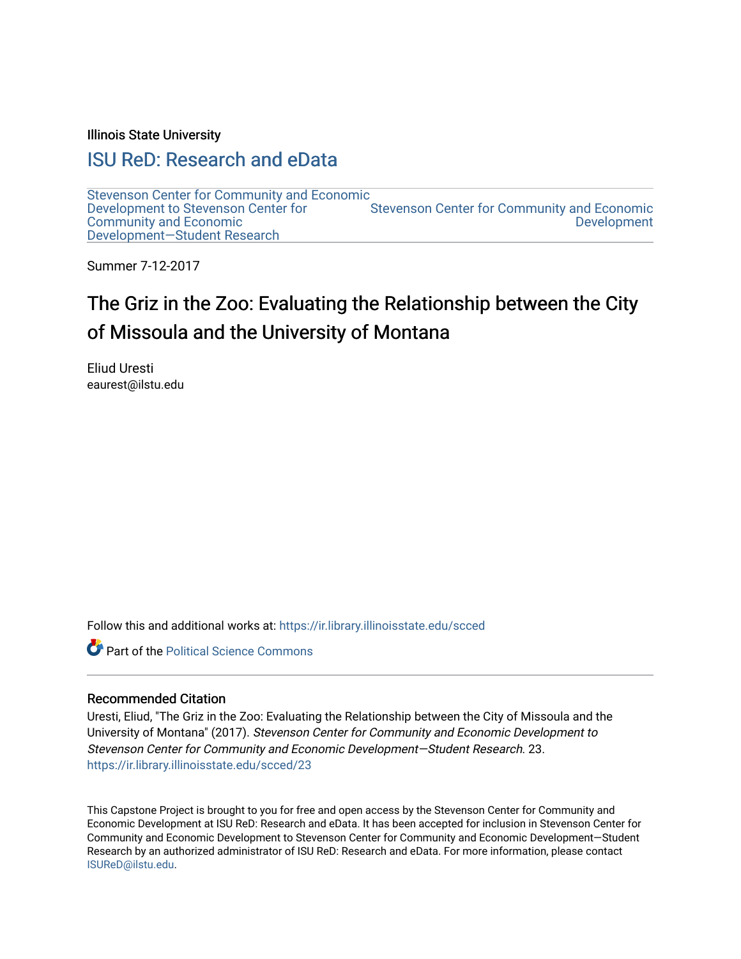Illinois State University

## [ISU ReD: Research and eData](https://ir.library.illinoisstate.edu/)

[Stevenson Center for Community and Economic](https://ir.library.illinoisstate.edu/scced)  [Development to Stevenson Center for](https://ir.library.illinoisstate.edu/scced)  [Community and Economic](https://ir.library.illinoisstate.edu/scced)  [Development—Student Research](https://ir.library.illinoisstate.edu/scced)  [Stevenson Center for Community and Economic](https://ir.library.illinoisstate.edu/stvc)  [Development](https://ir.library.illinoisstate.edu/stvc) 

Summer 7-12-2017

# The Griz in the Zoo: Evaluating the Relationship between the City of Missoula and the University of Montana

Eliud Uresti eaurest@ilstu.edu

Follow this and additional works at: [https://ir.library.illinoisstate.edu/scced](https://ir.library.illinoisstate.edu/scced?utm_source=ir.library.illinoisstate.edu%2Fscced%2F23&utm_medium=PDF&utm_campaign=PDFCoverPages)

**Part of the Political Science Commons** 

#### Recommended Citation

Uresti, Eliud, "The Griz in the Zoo: Evaluating the Relationship between the City of Missoula and the University of Montana" (2017). Stevenson Center for Community and Economic Development to Stevenson Center for Community and Economic Development—Student Research. 23. [https://ir.library.illinoisstate.edu/scced/23](https://ir.library.illinoisstate.edu/scced/23?utm_source=ir.library.illinoisstate.edu%2Fscced%2F23&utm_medium=PDF&utm_campaign=PDFCoverPages) 

This Capstone Project is brought to you for free and open access by the Stevenson Center for Community and Economic Development at ISU ReD: Research and eData. It has been accepted for inclusion in Stevenson Center for Community and Economic Development to Stevenson Center for Community and Economic Development—Student Research by an authorized administrator of ISU ReD: Research and eData. For more information, please contact [ISUReD@ilstu.edu](mailto:ISUReD@ilstu.edu).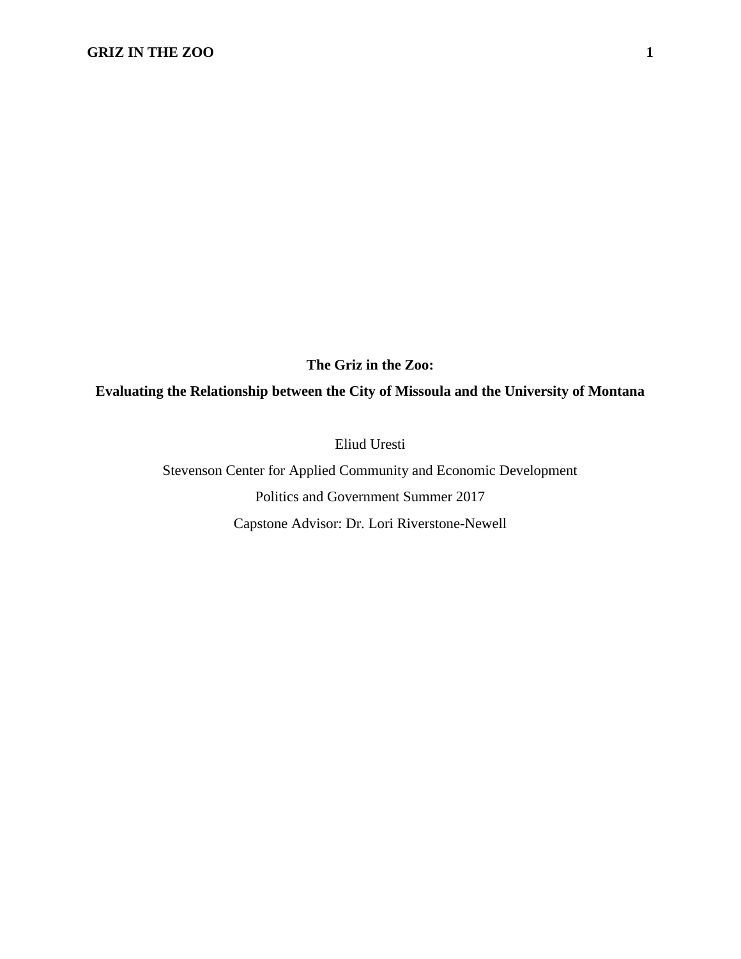**The Griz in the Zoo:** 

**Evaluating the Relationship between the City of Missoula and the University of Montana**

Eliud Uresti

Stevenson Center for Applied Community and Economic Development Politics and Government Summer 2017 Capstone Advisor: Dr. Lori Riverstone-Newell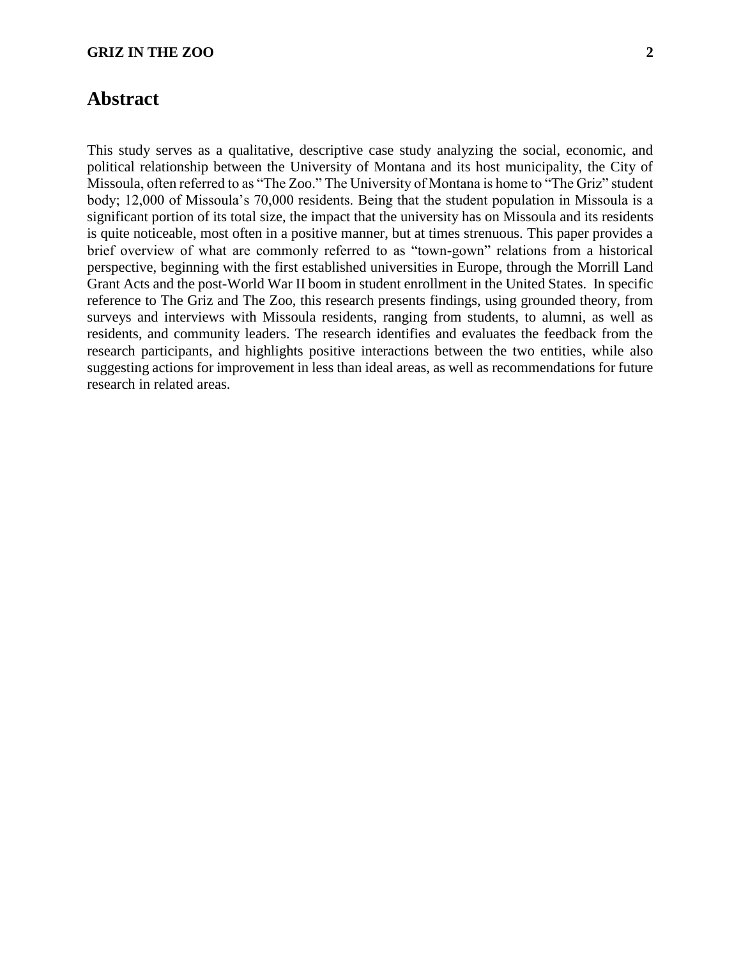## **Abstract**

This study serves as a qualitative, descriptive case study analyzing the social, economic, and political relationship between the University of Montana and its host municipality, the City of Missoula, often referred to as "The Zoo." The University of Montana is home to "The Griz" student body; 12,000 of Missoula's 70,000 residents. Being that the student population in Missoula is a significant portion of its total size, the impact that the university has on Missoula and its residents is quite noticeable, most often in a positive manner, but at times strenuous. This paper provides a brief overview of what are commonly referred to as "town-gown" relations from a historical perspective, beginning with the first established universities in Europe, through the Morrill Land Grant Acts and the post-World War II boom in student enrollment in the United States. In specific reference to The Griz and The Zoo, this research presents findings, using grounded theory, from surveys and interviews with Missoula residents, ranging from students, to alumni, as well as residents, and community leaders. The research identifies and evaluates the feedback from the research participants, and highlights positive interactions between the two entities, while also suggesting actions for improvement in less than ideal areas, as well as recommendations for future research in related areas.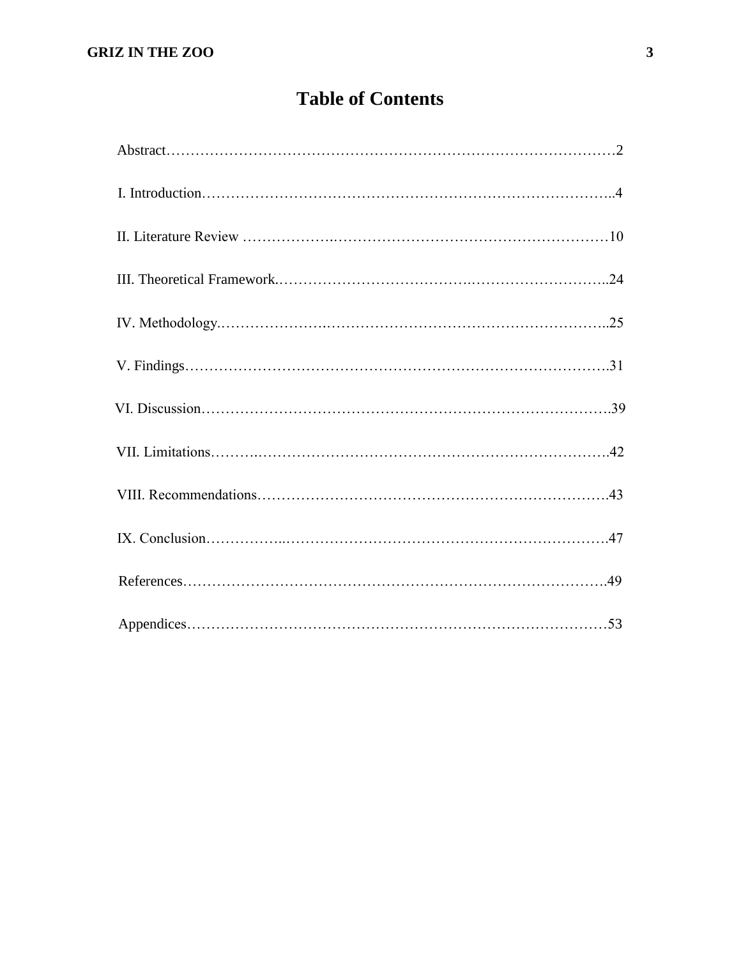# **Table of Contents**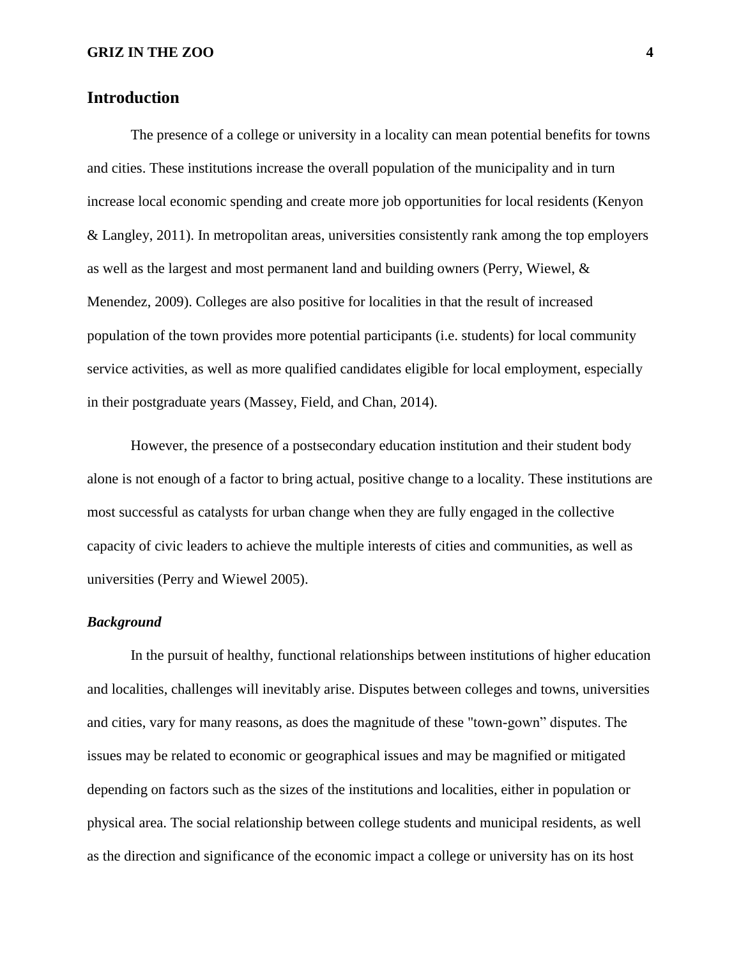## **Introduction**

The presence of a college or university in a locality can mean potential benefits for towns and cities. These institutions increase the overall population of the municipality and in turn increase local economic spending and create more job opportunities for local residents (Kenyon & Langley, 2011). In metropolitan areas, universities consistently rank among the top employers as well as the largest and most permanent land and building owners (Perry, Wiewel, & Menendez, 2009). Colleges are also positive for localities in that the result of increased population of the town provides more potential participants (i.e. students) for local community service activities, as well as more qualified candidates eligible for local employment, especially in their postgraduate years (Massey, Field, and Chan, 2014).

However, the presence of a postsecondary education institution and their student body alone is not enough of a factor to bring actual, positive change to a locality. These institutions are most successful as catalysts for urban change when they are fully engaged in the collective capacity of civic leaders to achieve the multiple interests of cities and communities, as well as universities (Perry and Wiewel 2005).

## *Background*

In the pursuit of healthy, functional relationships between institutions of higher education and localities, challenges will inevitably arise. Disputes between colleges and towns, universities and cities, vary for many reasons, as does the magnitude of these "town-gown" disputes. The issues may be related to economic or geographical issues and may be magnified or mitigated depending on factors such as the sizes of the institutions and localities, either in population or physical area. The social relationship between college students and municipal residents, as well as the direction and significance of the economic impact a college or university has on its host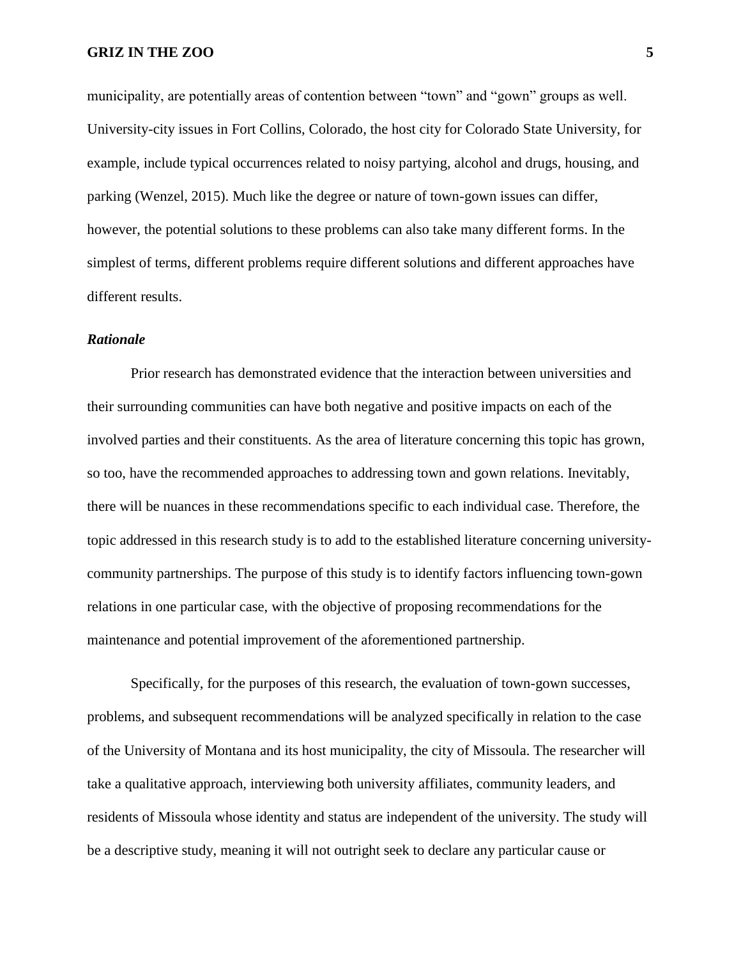municipality, are potentially areas of contention between "town" and "gown" groups as well. University-city issues in Fort Collins, Colorado, the host city for Colorado State University, for example, include typical occurrences related to noisy partying, alcohol and drugs, housing, and parking (Wenzel, 2015). Much like the degree or nature of town-gown issues can differ, however, the potential solutions to these problems can also take many different forms. In the simplest of terms, different problems require different solutions and different approaches have different results.

## *Rationale*

Prior research has demonstrated evidence that the interaction between universities and their surrounding communities can have both negative and positive impacts on each of the involved parties and their constituents. As the area of literature concerning this topic has grown, so too, have the recommended approaches to addressing town and gown relations. Inevitably, there will be nuances in these recommendations specific to each individual case. Therefore, the topic addressed in this research study is to add to the established literature concerning universitycommunity partnerships. The purpose of this study is to identify factors influencing town-gown relations in one particular case, with the objective of proposing recommendations for the maintenance and potential improvement of the aforementioned partnership.

Specifically, for the purposes of this research, the evaluation of town-gown successes, problems, and subsequent recommendations will be analyzed specifically in relation to the case of the University of Montana and its host municipality, the city of Missoula. The researcher will take a qualitative approach, interviewing both university affiliates, community leaders, and residents of Missoula whose identity and status are independent of the university. The study will be a descriptive study, meaning it will not outright seek to declare any particular cause or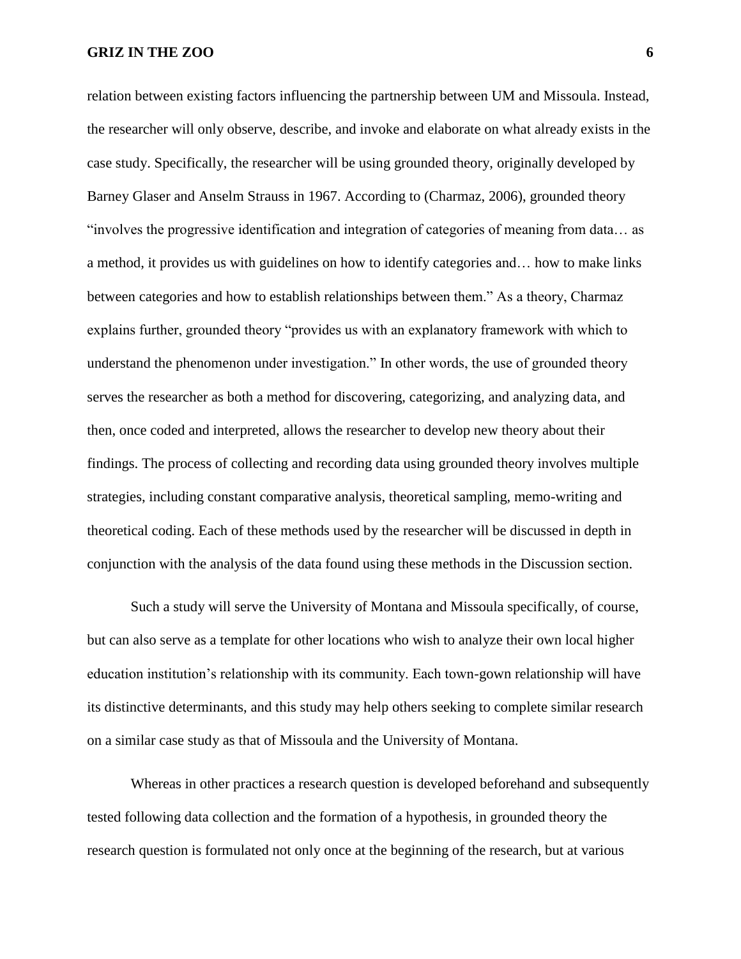relation between existing factors influencing the partnership between UM and Missoula. Instead, the researcher will only observe, describe, and invoke and elaborate on what already exists in the case study. Specifically, the researcher will be using grounded theory, originally developed by Barney Glaser and Anselm Strauss in 1967. According to (Charmaz, 2006), grounded theory "involves the progressive identification and integration of categories of meaning from data… as a method, it provides us with guidelines on how to identify categories and… how to make links between categories and how to establish relationships between them." As a theory, Charmaz explains further, grounded theory "provides us with an explanatory framework with which to understand the phenomenon under investigation." In other words, the use of grounded theory serves the researcher as both a method for discovering, categorizing, and analyzing data, and then, once coded and interpreted, allows the researcher to develop new theory about their findings. The process of collecting and recording data using grounded theory involves multiple strategies, including constant comparative analysis, theoretical sampling, memo-writing and theoretical coding. Each of these methods used by the researcher will be discussed in depth in conjunction with the analysis of the data found using these methods in the Discussion section.

Such a study will serve the University of Montana and Missoula specifically, of course, but can also serve as a template for other locations who wish to analyze their own local higher education institution's relationship with its community. Each town-gown relationship will have its distinctive determinants, and this study may help others seeking to complete similar research on a similar case study as that of Missoula and the University of Montana.

Whereas in other practices a research question is developed beforehand and subsequently tested following data collection and the formation of a hypothesis, in grounded theory the research question is formulated not only once at the beginning of the research, but at various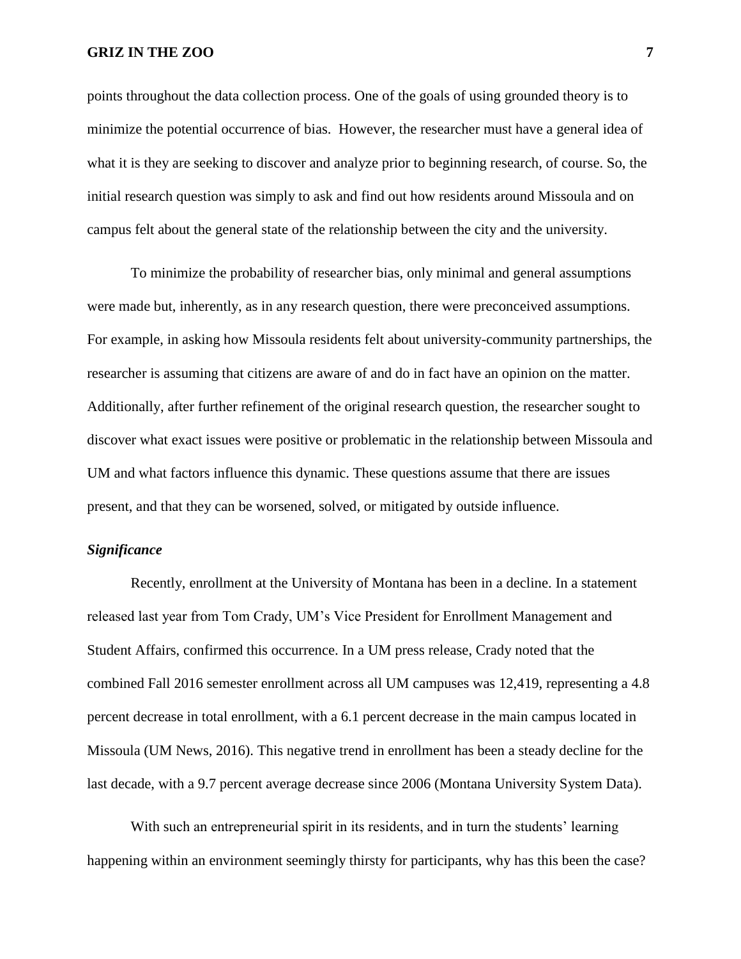points throughout the data collection process. One of the goals of using grounded theory is to minimize the potential occurrence of bias. However, the researcher must have a general idea of what it is they are seeking to discover and analyze prior to beginning research, of course. So, the initial research question was simply to ask and find out how residents around Missoula and on campus felt about the general state of the relationship between the city and the university.

To minimize the probability of researcher bias, only minimal and general assumptions were made but, inherently, as in any research question, there were preconceived assumptions. For example, in asking how Missoula residents felt about university-community partnerships, the researcher is assuming that citizens are aware of and do in fact have an opinion on the matter. Additionally, after further refinement of the original research question, the researcher sought to discover what exact issues were positive or problematic in the relationship between Missoula and UM and what factors influence this dynamic. These questions assume that there are issues present, and that they can be worsened, solved, or mitigated by outside influence.

#### *Significance*

Recently, enrollment at the University of Montana has been in a decline. In a statement released last year from Tom Crady, UM's Vice President for Enrollment Management and Student Affairs, confirmed this occurrence. In a UM press release, Crady noted that the combined Fall 2016 semester enrollment across all UM campuses was 12,419, representing a 4.8 percent decrease in total enrollment, with a 6.1 percent decrease in the main campus located in Missoula [\(UM News, 2016\)](https://news.umt.edu/2016/09/092316enrl.php). This negative trend in enrollment has been a steady decline for the last decade, with a 9.7 percent average decrease since 2006 [\(Montana University System Data\)](https://mus.edu/data/enrollment/enrollment.asp).

With such an entrepreneurial spirit in its residents, and in turn the students' learning happening within an environment seemingly thirsty for participants, why has this been the case?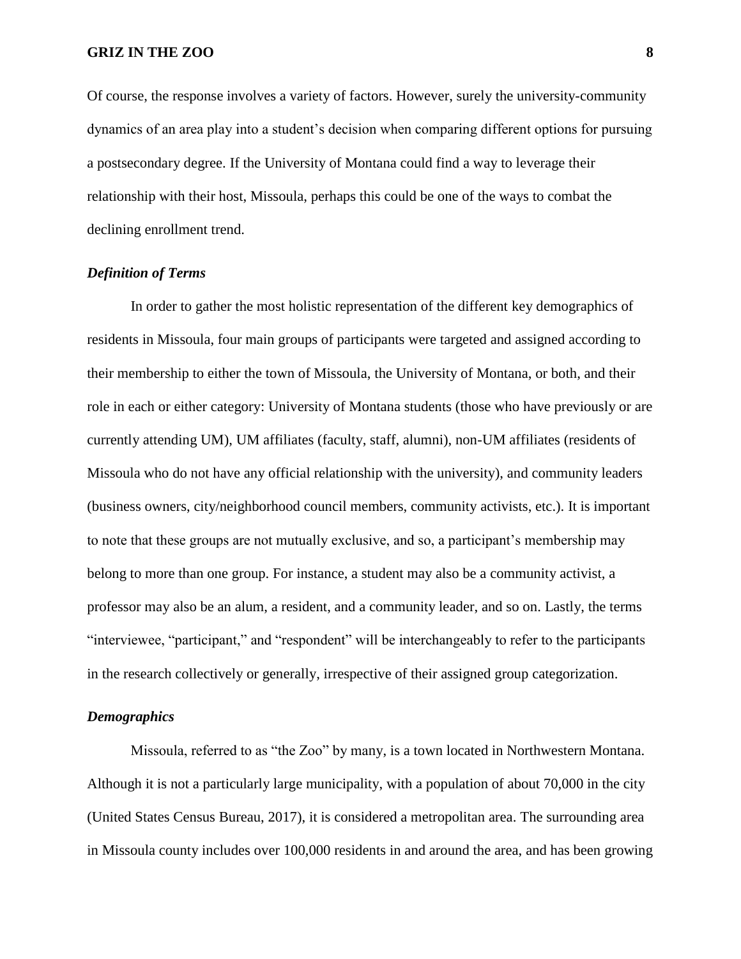Of course, the response involves a variety of factors. However, surely the university-community dynamics of an area play into a student's decision when comparing different options for pursuing a postsecondary degree. If the University of Montana could find a way to leverage their relationship with their host, Missoula, perhaps this could be one of the ways to combat the declining enrollment trend.

## *Definition of Terms*

In order to gather the most holistic representation of the different key demographics of residents in Missoula, four main groups of participants were targeted and assigned according to their membership to either the town of Missoula, the University of Montana, or both, and their role in each or either category: University of Montana students (those who have previously or are currently attending UM), UM affiliates (faculty, staff, alumni), non-UM affiliates (residents of Missoula who do not have any official relationship with the university), and community leaders (business owners, city/neighborhood council members, community activists, etc.). It is important to note that these groups are not mutually exclusive, and so, a participant's membership may belong to more than one group. For instance, a student may also be a community activist, a professor may also be an alum, a resident, and a community leader, and so on. Lastly, the terms "interviewee, "participant," and "respondent" will be interchangeably to refer to the participants in the research collectively or generally, irrespective of their assigned group categorization.

#### *Demographics*

Missoula, referred to as "the Zoo" by many, is a town located in Northwestern Montana. Although it is not a particularly large municipality, with a population of about 70,000 in the city (United States Census Bureau, 2017), it is considered a metropolitan area. The surrounding area in Missoula county includes over 100,000 residents in and around the area, and has been growing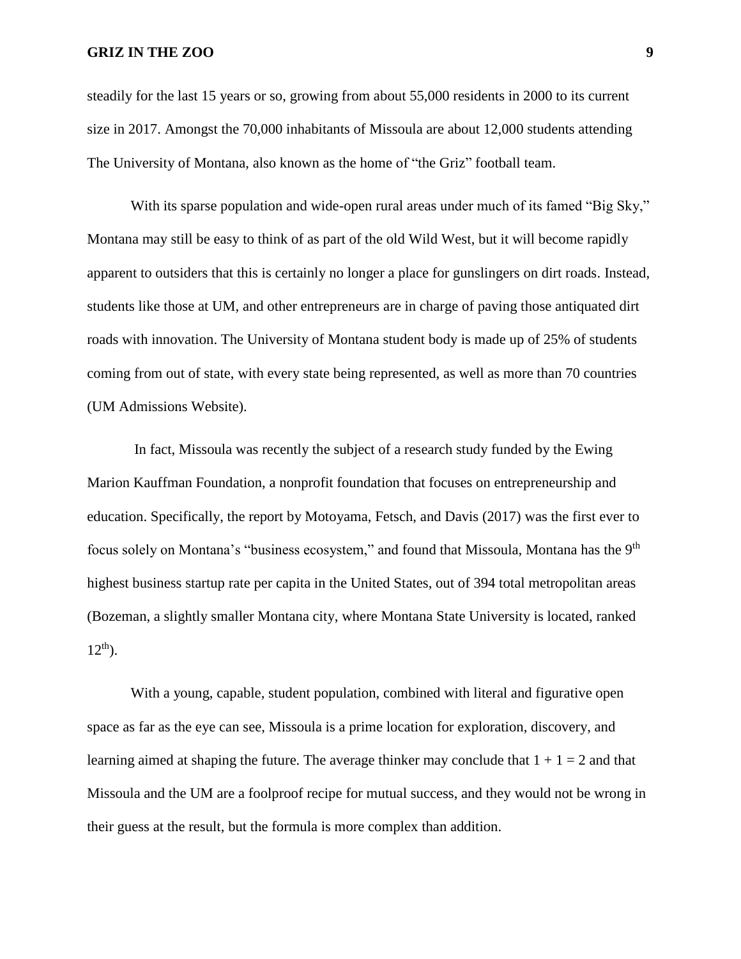steadily for the last 15 years or so, growing from about 55,000 residents in 2000 to its current size in 2017. Amongst the 70,000 inhabitants of Missoula are about 12,000 students attending The University of Montana, also known as the home of "the Griz" football team.

With its sparse population and wide-open rural areas under much of its famed "Big Sky," Montana may still be easy to think of as part of the old Wild West, but it will become rapidly apparent to outsiders that this is certainly no longer a place for gunslingers on dirt roads. Instead, students like those at UM, and other entrepreneurs are in charge of paving those antiquated dirt roads with innovation. The University of Montana student body is made up of 25% of students coming from out of state, with every state being represented, as well as more than 70 countries (UM Admissions Website).

In fact, Missoula was recently the subject of a research study funded by the Ewing Marion Kauffman Foundation, a nonprofit foundation that focuses on entrepreneurship and education. Specifically, the report by Motoyama, Fetsch, and Davis (2017) was the first ever to focus solely on Montana's "business ecosystem," and found that Missoula, Montana has the 9<sup>th</sup> highest business startup rate per capita in the United States, out of 394 total metropolitan areas (Bozeman, a slightly smaller Montana city, where Montana State University is located, ranked  $12^{th}$ ).

With a young, capable, student population, combined with literal and figurative open space as far as the eye can see, Missoula is a prime location for exploration, discovery, and learning aimed at shaping the future. The average thinker may conclude that  $1 + 1 = 2$  and that Missoula and the UM are a foolproof recipe for mutual success, and they would not be wrong in their guess at the result, but the formula is more complex than addition.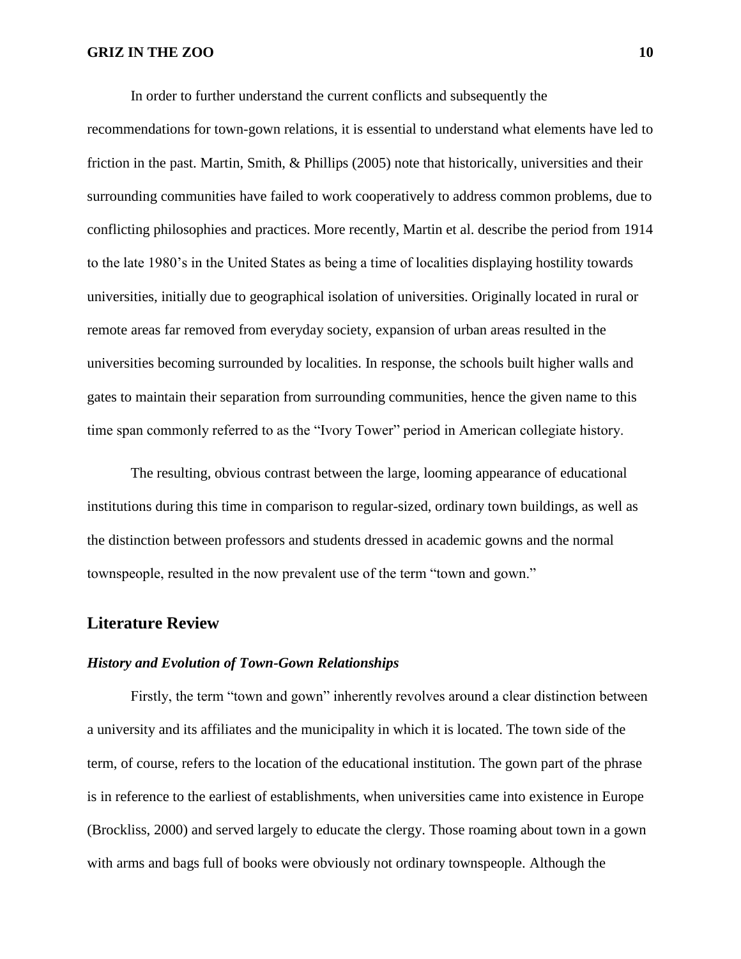In order to further understand the current conflicts and subsequently the

recommendations for town-gown relations, it is essential to understand what elements have led to friction in the past. Martin, Smith, & Phillips (2005) note that historically, universities and their surrounding communities have failed to work cooperatively to address common problems, due to conflicting philosophies and practices. More recently, Martin et al. describe the period from 1914 to the late 1980's in the United States as being a time of localities displaying hostility towards universities, initially due to geographical isolation of universities. Originally located in rural or remote areas far removed from everyday society, expansion of urban areas resulted in the universities becoming surrounded by localities. In response, the schools built higher walls and gates to maintain their separation from surrounding communities, hence the given name to this time span commonly referred to as the "Ivory Tower" period in American collegiate history.

The resulting, obvious contrast between the large, looming appearance of educational institutions during this time in comparison to regular-sized, ordinary town buildings, as well as the distinction between professors and students dressed in academic gowns and the normal townspeople, resulted in the now prevalent use of the term "town and gown."

## **Literature Review**

#### *History and Evolution of Town-Gown Relationships*

Firstly, the term "town and gown" inherently revolves around a clear distinction between a university and its affiliates and the municipality in which it is located. The town side of the term, of course, refers to the location of the educational institution. The gown part of the phrase is in reference to the earliest of establishments, when universities came into existence in Europe (Brockliss, 2000) and served largely to educate the clergy. Those roaming about town in a gown with arms and bags full of books were obviously not ordinary townspeople. Although the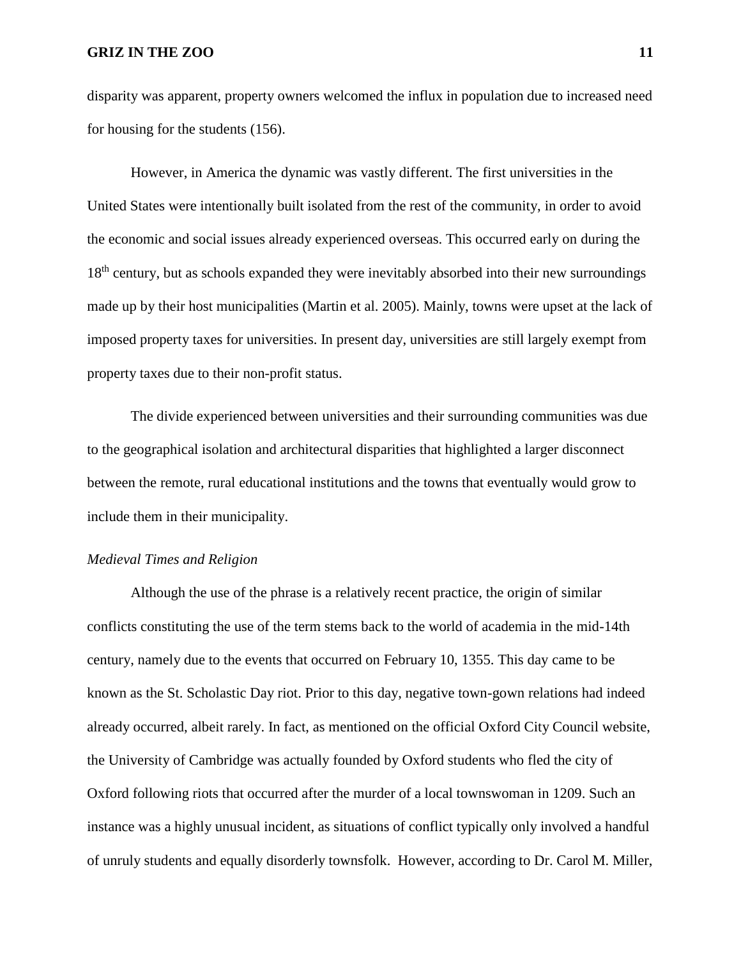disparity was apparent, property owners welcomed the influx in population due to increased need for housing for the students (156).

However, in America the dynamic was vastly different. The first universities in the United States were intentionally built isolated from the rest of the community, in order to avoid the economic and social issues already experienced overseas. This occurred early on during the 18<sup>th</sup> century, but as schools expanded they were inevitably absorbed into their new surroundings made up by their host municipalities (Martin et al. 2005). Mainly, towns were upset at the lack of imposed property taxes for universities. In present day, universities are still largely exempt from property taxes due to their non-profit status.

The divide experienced between universities and their surrounding communities was due to the geographical isolation and architectural disparities that highlighted a larger disconnect between the remote, rural educational institutions and the towns that eventually would grow to include them in their municipality.

#### *Medieval Times and Religion*

Although the use of the phrase is a relatively recent practice, the origin of similar conflicts constituting the use of the term stems back to the world of academia in the mid-14th century, namely due to the events that occurred on February 10, 1355. This day came to be known as the St. Scholastic Day riot. Prior to this day, negative town-gown relations had indeed already occurred, albeit rarely. In fact, as mentioned on the official Oxford City Council website, the University of Cambridge was actually founded by Oxford students who fled the city of Oxford following riots that occurred after the murder of a local townswoman in 1209. Such an instance was a highly unusual incident, as situations of conflict typically only involved a handful of unruly students and equally disorderly townsfolk. However, according to Dr. Carol M. Miller,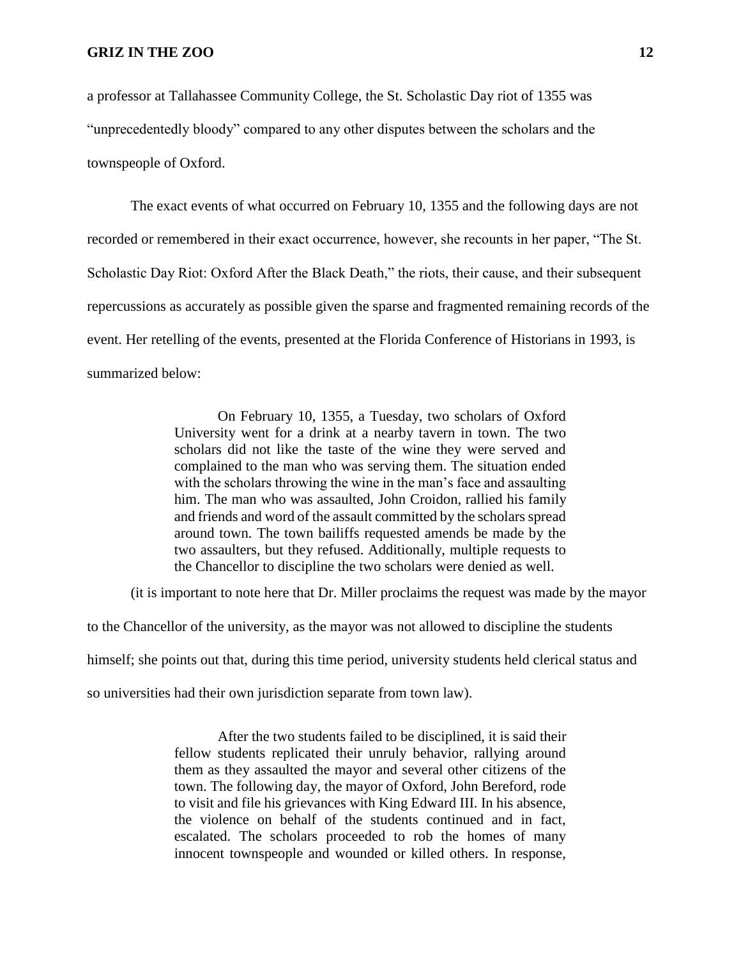a professor at Tallahassee Community College, the St. Scholastic Day riot of 1355 was "unprecedentedly bloody" compared to any other disputes between the scholars and the townspeople of Oxford.

The exact events of what occurred on February 10, 1355 and the following days are not recorded or remembered in their exact occurrence, however, she recounts in her paper, "The St. Scholastic Day Riot: Oxford After the Black Death," the riots, their cause, and their subsequent repercussions as accurately as possible given the sparse and fragmented remaining records of the event. Her retelling of the events, presented at the Florida Conference of Historians in 1993, is summarized below:

> On February 10, 1355, a Tuesday, two scholars of Oxford University went for a drink at a nearby tavern in town. The two scholars did not like the taste of the wine they were served and complained to the man who was serving them. The situation ended with the scholars throwing the wine in the man's face and assaulting him. The man who was assaulted, John Croidon, rallied his family and friends and word of the assault committed by the scholars spread around town. The town bailiffs requested amends be made by the two assaulters, but they refused. Additionally, multiple requests to the Chancellor to discipline the two scholars were denied as well.

(it is important to note here that Dr. Miller proclaims the request was made by the mayor

to the Chancellor of the university, as the mayor was not allowed to discipline the students

himself; she points out that, during this time period, university students held clerical status and

so universities had their own jurisdiction separate from town law).

After the two students failed to be disciplined, it is said their fellow students replicated their unruly behavior, rallying around them as they assaulted the mayor and several other citizens of the town. The following day, the mayor of Oxford, John Bereford, rode to visit and file his grievances with King Edward III. In his absence, the violence on behalf of the students continued and in fact, escalated. The scholars proceeded to rob the homes of many innocent townspeople and wounded or killed others. In response,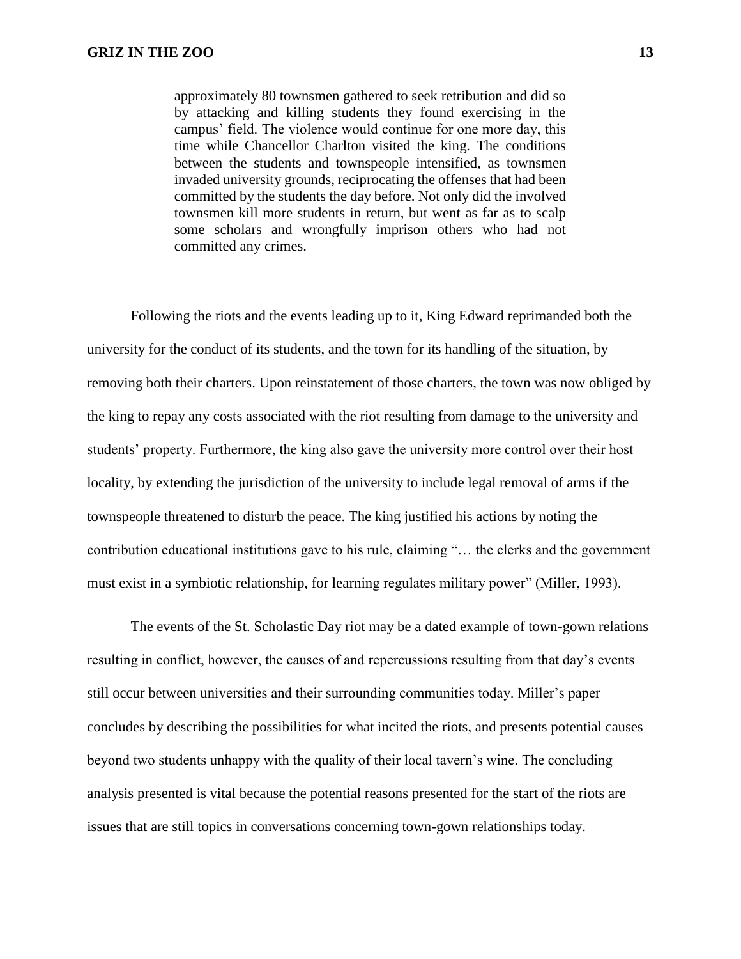approximately 80 townsmen gathered to seek retribution and did so by attacking and killing students they found exercising in the campus' field. The violence would continue for one more day, this time while Chancellor Charlton visited the king. The conditions between the students and townspeople intensified, as townsmen invaded university grounds, reciprocating the offenses that had been committed by the students the day before. Not only did the involved townsmen kill more students in return, but went as far as to scalp some scholars and wrongfully imprison others who had not committed any crimes.

Following the riots and the events leading up to it, King Edward reprimanded both the university for the conduct of its students, and the town for its handling of the situation, by removing both their charters. Upon reinstatement of those charters, the town was now obliged by the king to repay any costs associated with the riot resulting from damage to the university and students' property. Furthermore, the king also gave the university more control over their host locality, by extending the jurisdiction of the university to include legal removal of arms if the townspeople threatened to disturb the peace. The king justified his actions by noting the contribution educational institutions gave to his rule, claiming "… the clerks and the government must exist in a symbiotic relationship, for learning regulates military power" (Miller, 1993).

The events of the St. Scholastic Day riot may be a dated example of town-gown relations resulting in conflict, however, the causes of and repercussions resulting from that day's events still occur between universities and their surrounding communities today. Miller's paper concludes by describing the possibilities for what incited the riots, and presents potential causes beyond two students unhappy with the quality of their local tavern's wine. The concluding analysis presented is vital because the potential reasons presented for the start of the riots are issues that are still topics in conversations concerning town-gown relationships today.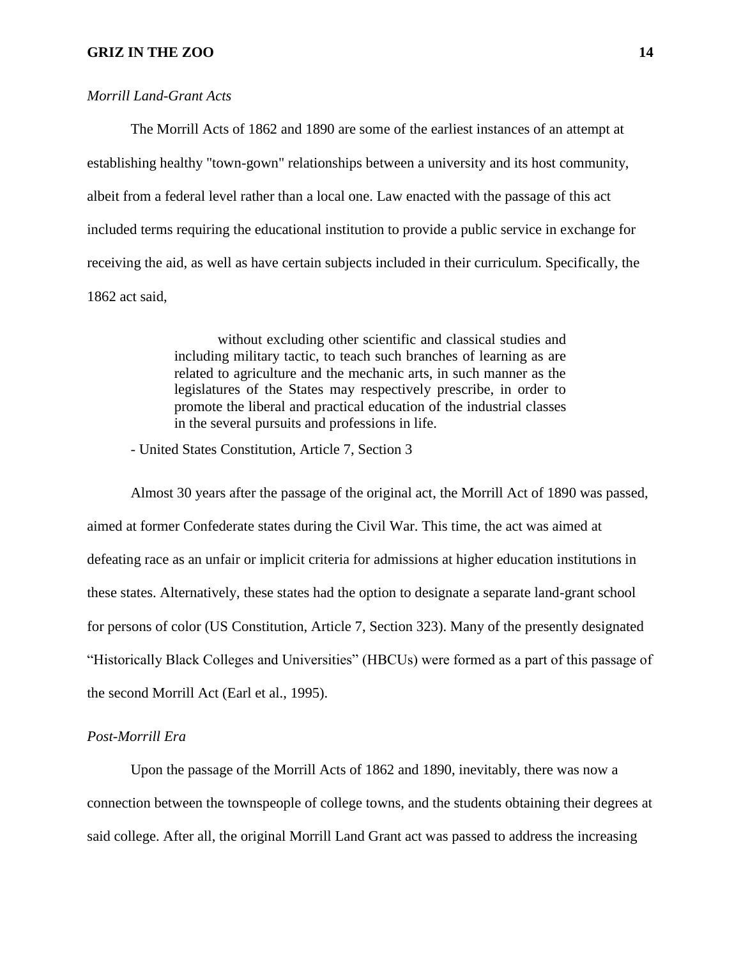#### *Morrill Land-Grant Acts*

The Morrill Acts of 1862 and 1890 are some of the earliest instances of an attempt at establishing healthy "town-gown" relationships between a university and its host community, albeit from a federal level rather than a local one. Law enacted with the passage of this act included terms requiring the educational institution to provide a public service in exchange for receiving the aid, as well as have certain subjects included in their curriculum. Specifically, the 1862 act said,

> without excluding other scientific and classical studies and including military tactic, to teach such branches of learning as are related to agriculture and the mechanic arts, in such manner as the legislatures of the States may respectively prescribe, in order to promote the liberal and practical education of the industrial classes in the several pursuits and professions in life.

- United States Constitution, Article 7, Section 3

Almost 30 years after the passage of the original act, the Morrill Act of 1890 was passed, aimed at former Confederate states during the Civil War. This time, the act was aimed at defeating race as an unfair or implicit criteria for admissions at higher education institutions in these states. Alternatively, these states had the option to designate a separate land-grant school for persons of color (US Constitution, Article 7, Section 323). Many of the presently designated "Historically Black Colleges and Universities" (HBCUs) were formed as a part of this passage of the second Morrill Act (Earl et al., 1995).

#### *Post-Morrill Era*

Upon the passage of the Morrill Acts of 1862 and 1890, inevitably, there was now a connection between the townspeople of college towns, and the students obtaining their degrees at said college. After all, the original Morrill Land Grant act was passed to address the increasing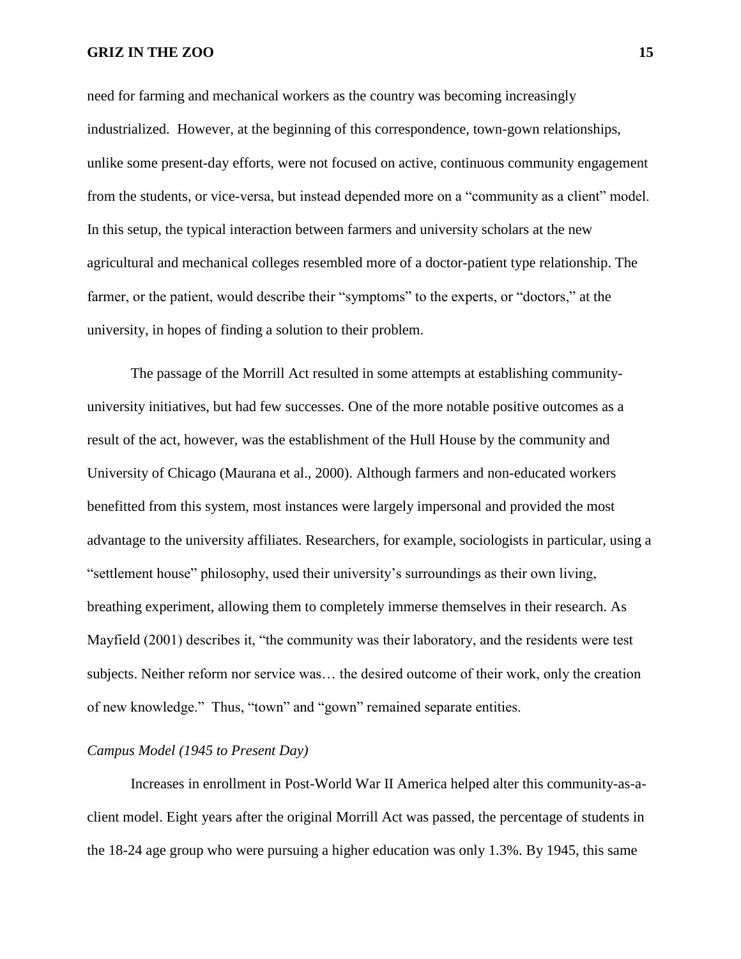need for farming and mechanical workers as the country was becoming increasingly industrialized. However, at the beginning of this correspondence, town-gown relationships, unlike some present-day efforts, were not focused on active, continuous community engagement from the students, or vice-versa, but instead depended more on a "community as a client" model. In this setup, the typical interaction between farmers and university scholars at the new agricultural and mechanical colleges resembled more of a doctor-patient type relationship. The farmer, or the patient, would describe their "symptoms" to the experts, or "doctors," at the university, in hopes of finding a solution to their problem.

The passage of the Morrill Act resulted in some attempts at establishing communityuniversity initiatives, but had few successes. One of the more notable positive outcomes as a result of the act, however, was the establishment of the Hull House by the community and University of Chicago (Maurana et al., 2000). Although farmers and non-educated workers benefitted from this system, most instances were largely impersonal and provided the most advantage to the university affiliates. Researchers, for example, sociologists in particular, using a "settlement house" philosophy, used their university's surroundings as their own living, breathing experiment, allowing them to completely immerse themselves in their research. As Mayfield (2001) describes it, "the community was their laboratory, and the residents were test subjects. Neither reform nor service was… the desired outcome of their work, only the creation of new knowledge." Thus, "town" and "gown" remained separate entities.

#### *Campus Model (1945 to Present Day)*

Increases in enrollment in Post-World War II America helped alter this community-as-aclient model. Eight years after the original Morrill Act was passed, the percentage of students in the 18-24 age group who were pursuing a higher education was only 1.3%. By 1945, this same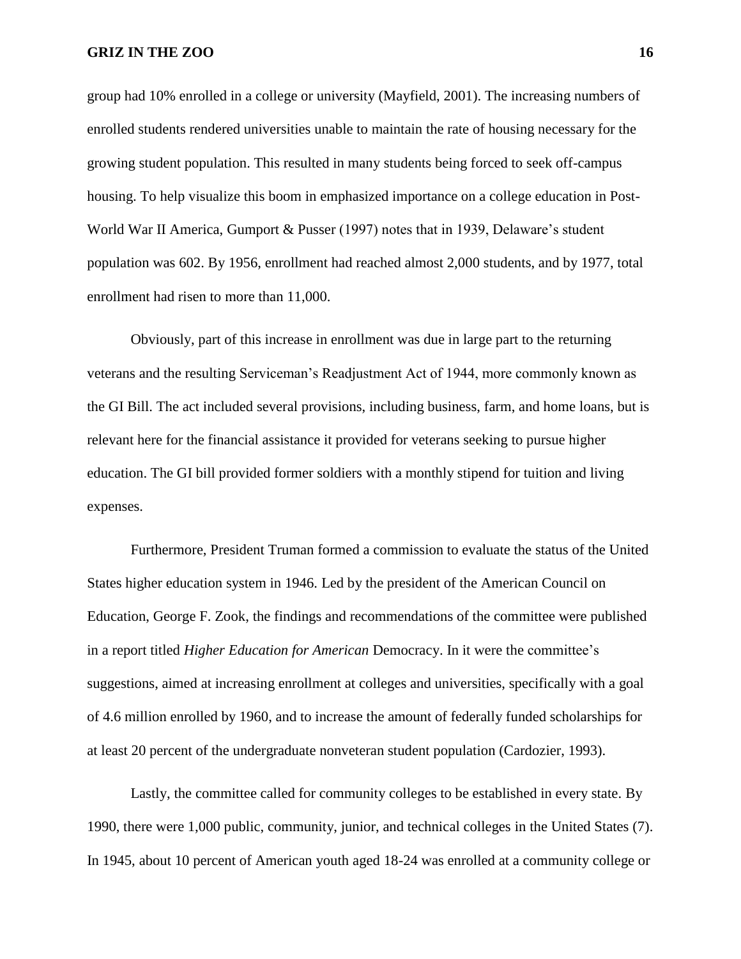group had 10% enrolled in a college or university (Mayfield, 2001). The increasing numbers of enrolled students rendered universities unable to maintain the rate of housing necessary for the growing student population. This resulted in many students being forced to seek off-campus housing. To help visualize this boom in emphasized importance on a college education in Post-World War II America, Gumport & Pusser (1997) notes that in 1939, Delaware's student population was 602. By 1956, enrollment had reached almost 2,000 students, and by 1977, total enrollment had risen to more than 11,000.

Obviously, part of this increase in enrollment was due in large part to the returning veterans and the resulting Serviceman's Readjustment Act of 1944, more commonly known as the GI Bill. The act included several provisions, including business, farm, and home loans, but is relevant here for the financial assistance it provided for veterans seeking to pursue higher education. The GI bill provided former soldiers with a monthly stipend for tuition and living expenses.

Furthermore, President Truman formed a commission to evaluate the status of the United States higher education system in 1946. Led by the president of the American Council on Education, George F. Zook, the findings and recommendations of the committee were published in a report titled *Higher Education for American* Democracy. In it were the committee's suggestions, aimed at increasing enrollment at colleges and universities, specifically with a goal of 4.6 million enrolled by 1960, and to increase the amount of federally funded scholarships for at least 20 percent of the undergraduate nonveteran student population (Cardozier, 1993).

Lastly, the committee called for community colleges to be established in every state. By 1990, there were 1,000 public, community, junior, and technical colleges in the United States (7). In 1945, about 10 percent of American youth aged 18-24 was enrolled at a community college or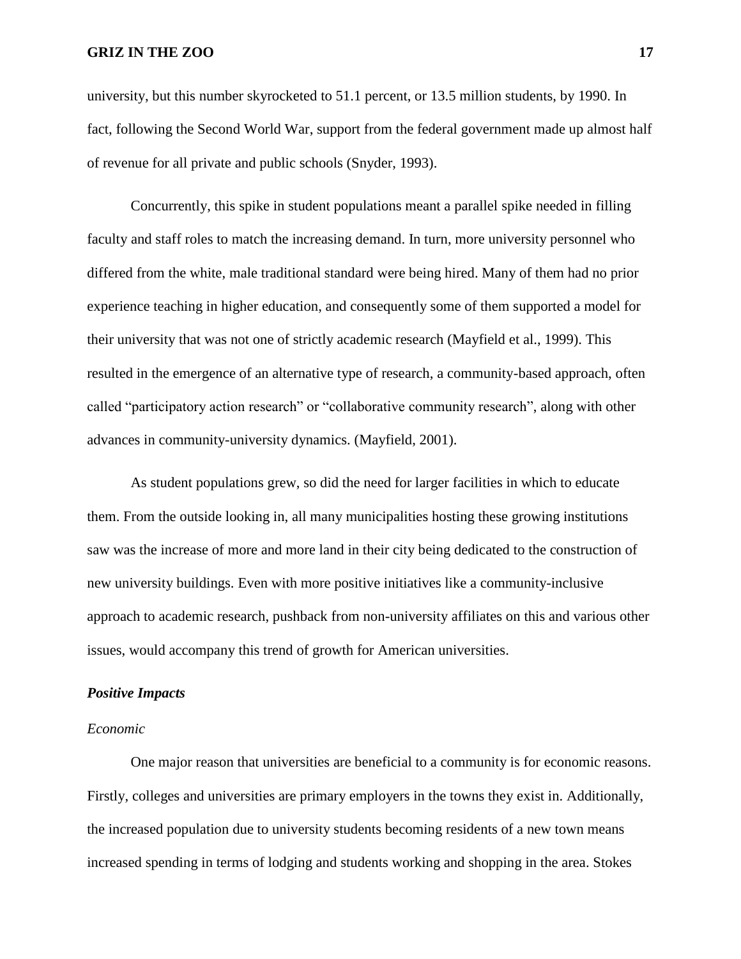university, but this number skyrocketed to 51.1 percent, or 13.5 million students, by 1990. In fact, following the Second World War, support from the federal government made up almost half of revenue for all private and public schools (Snyder, 1993).

Concurrently, this spike in student populations meant a parallel spike needed in filling faculty and staff roles to match the increasing demand. In turn, more university personnel who differed from the white, male traditional standard were being hired. Many of them had no prior experience teaching in higher education, and consequently some of them supported a model for their university that was not one of strictly academic research (Mayfield et al., 1999). This resulted in the emergence of an alternative type of research, a community-based approach, often called "participatory action research" or "collaborative community research", along with other advances in community-university dynamics. (Mayfield, 2001).

As student populations grew, so did the need for larger facilities in which to educate them. From the outside looking in, all many municipalities hosting these growing institutions saw was the increase of more and more land in their city being dedicated to the construction of new university buildings. Even with more positive initiatives like a community-inclusive approach to academic research, pushback from non-university affiliates on this and various other issues, would accompany this trend of growth for American universities.

#### *Positive Impacts*

#### *Economic*

One major reason that universities are beneficial to a community is for economic reasons. Firstly, colleges and universities are primary employers in the towns they exist in. Additionally, the increased population due to university students becoming residents of a new town means increased spending in terms of lodging and students working and shopping in the area. Stokes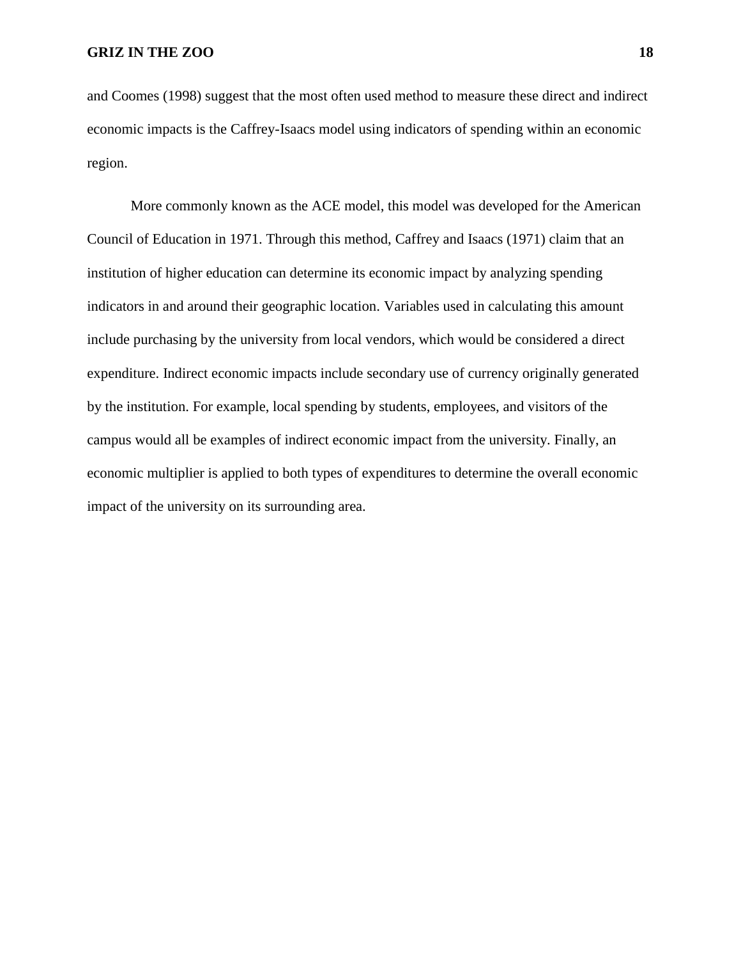and Coomes (1998) suggest that the most often used method to measure these direct and indirect economic impacts is the Caffrey-Isaacs model using indicators of spending within an economic region.

More commonly known as the ACE model, this model was developed for the American Council of Education in 1971. Through this method, Caffrey and Isaacs (1971) claim that an institution of higher education can determine its economic impact by analyzing spending indicators in and around their geographic location. Variables used in calculating this amount include purchasing by the university from local vendors, which would be considered a direct expenditure. Indirect economic impacts include secondary use of currency originally generated by the institution. For example, local spending by students, employees, and visitors of the campus would all be examples of indirect economic impact from the university. Finally, an economic multiplier is applied to both types of expenditures to determine the overall economic impact of the university on its surrounding area.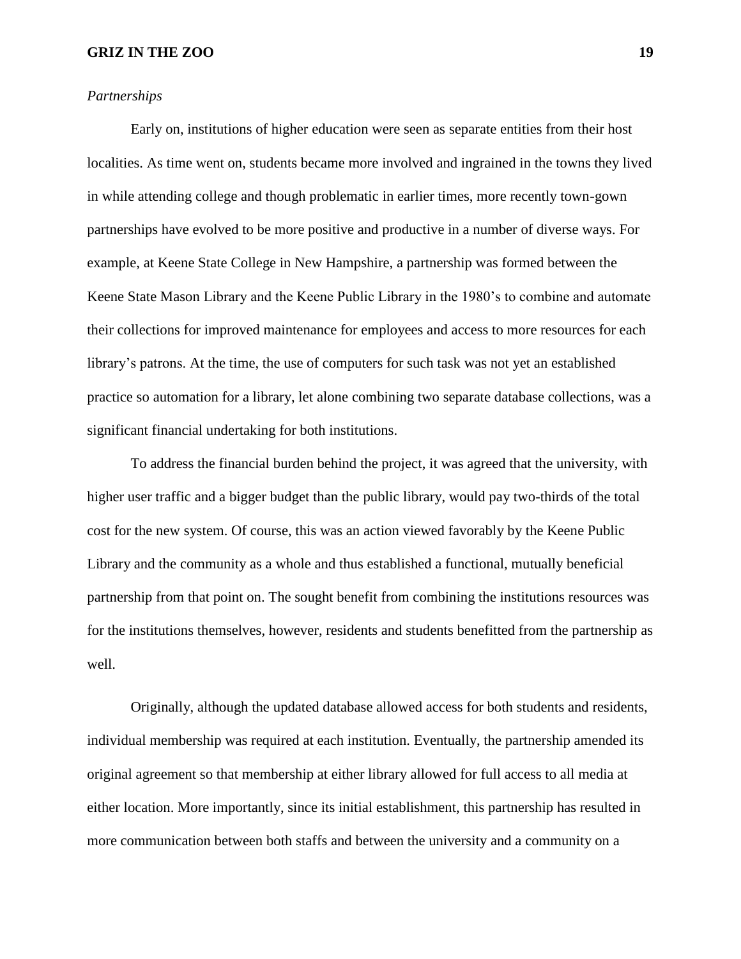#### *Partnerships*

Early on, institutions of higher education were seen as separate entities from their host localities. As time went on, students became more involved and ingrained in the towns they lived in while attending college and though problematic in earlier times, more recently town-gown partnerships have evolved to be more positive and productive in a number of diverse ways. For example, at Keene State College in New Hampshire, a partnership was formed between the Keene State Mason Library and the Keene Public Library in the 1980's to combine and automate their collections for improved maintenance for employees and access to more resources for each library's patrons. At the time, the use of computers for such task was not yet an established practice so automation for a library, let alone combining two separate database collections, was a significant financial undertaking for both institutions.

To address the financial burden behind the project, it was agreed that the university, with higher user traffic and a bigger budget than the public library, would pay two-thirds of the total cost for the new system. Of course, this was an action viewed favorably by the Keene Public Library and the community as a whole and thus established a functional, mutually beneficial partnership from that point on. The sought benefit from combining the institutions resources was for the institutions themselves, however, residents and students benefitted from the partnership as well.

Originally, although the updated database allowed access for both students and residents, individual membership was required at each institution. Eventually, the partnership amended its original agreement so that membership at either library allowed for full access to all media at either location. More importantly, since its initial establishment, this partnership has resulted in more communication between both staffs and between the university and a community on a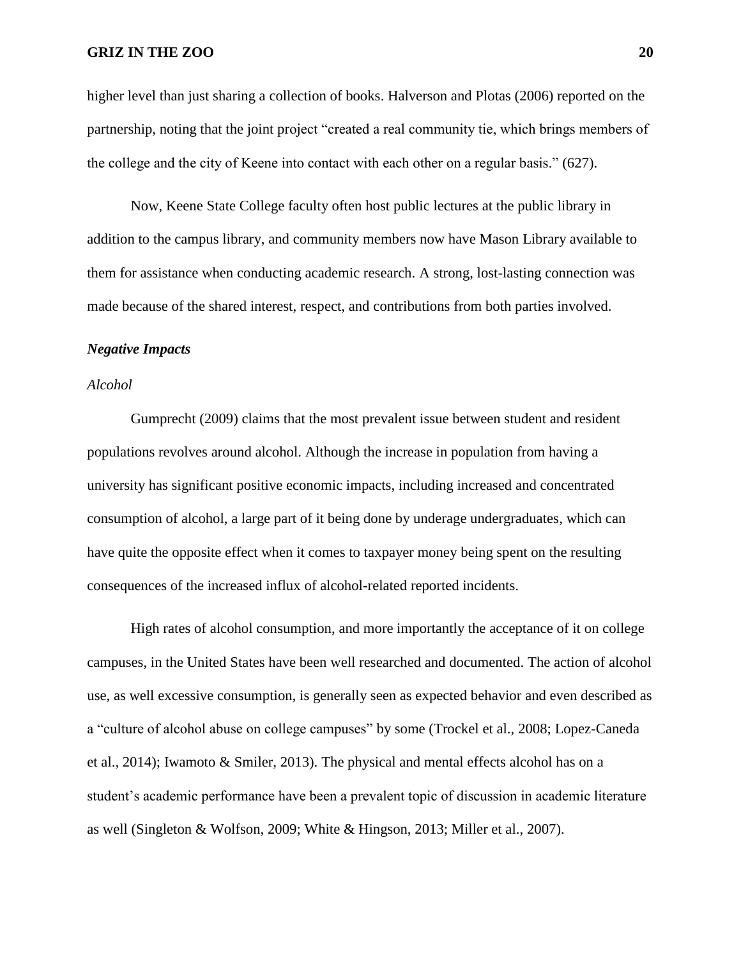higher level than just sharing a collection of books. Halverson and Plotas (2006) reported on the partnership, noting that the joint project "created a real community tie, which brings members of the college and the city of Keene into contact with each other on a regular basis." (627).

Now, Keene State College faculty often host public lectures at the public library in addition to the campus library, and community members now have Mason Library available to them for assistance when conducting academic research. A strong, lost-lasting connection was made because of the shared interest, respect, and contributions from both parties involved.

#### *Negative Impacts*

#### *Alcohol*

Gumprecht (2009) claims that the most prevalent issue between student and resident populations revolves around alcohol. Although the increase in population from having a university has significant positive economic impacts, including increased and concentrated consumption of alcohol, a large part of it being done by underage undergraduates, which can have quite the opposite effect when it comes to taxpayer money being spent on the resulting consequences of the increased influx of alcohol-related reported incidents.

High rates of alcohol consumption, and more importantly the acceptance of it on college campuses, in the United States have been well researched and documented. The action of alcohol use, as well excessive consumption, is generally seen as expected behavior and even described as a "culture of alcohol abuse on college campuses" by some (Trockel et al., 2008; Lopez-Caneda et al., 2014); Iwamoto & Smiler, 2013). The physical and mental effects alcohol has on a student's academic performance have been a prevalent topic of discussion in academic literature as well (Singleton & Wolfson, 2009; White & Hingson, 2013; Miller et al., 2007).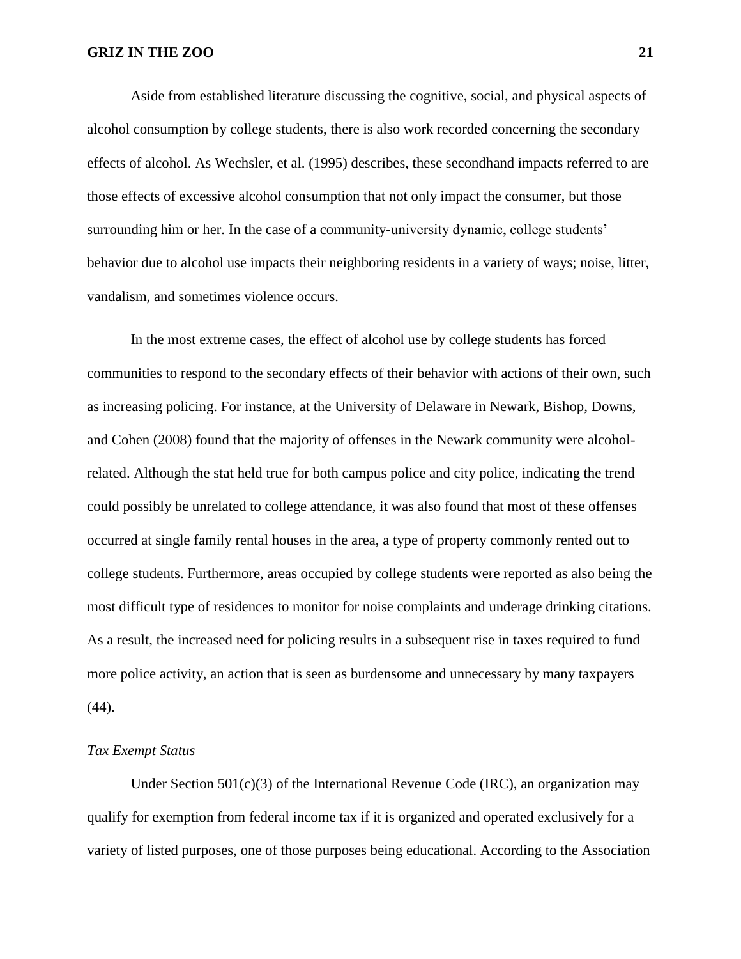Aside from established literature discussing the cognitive, social, and physical aspects of alcohol consumption by college students, there is also work recorded concerning the secondary effects of alcohol. As Wechsler, et al. (1995) describes, these secondhand impacts referred to are those effects of excessive alcohol consumption that not only impact the consumer, but those surrounding him or her. In the case of a community-university dynamic, college students' behavior due to alcohol use impacts their neighboring residents in a variety of ways; noise, litter, vandalism, and sometimes violence occurs.

In the most extreme cases, the effect of alcohol use by college students has forced communities to respond to the secondary effects of their behavior with actions of their own, such as increasing policing. For instance, at the University of Delaware in Newark, Bishop, Downs, and Cohen (2008) found that the majority of offenses in the Newark community were alcoholrelated. Although the stat held true for both campus police and city police, indicating the trend could possibly be unrelated to college attendance, it was also found that most of these offenses occurred at single family rental houses in the area, a type of property commonly rented out to college students. Furthermore, areas occupied by college students were reported as also being the most difficult type of residences to monitor for noise complaints and underage drinking citations. As a result, the increased need for policing results in a subsequent rise in taxes required to fund more police activity, an action that is seen as burdensome and unnecessary by many taxpayers (44).

#### *Tax Exempt Status*

Under Section  $501(c)(3)$  of the International Revenue Code (IRC), an organization may qualify for exemption from federal income tax if it is organized and operated exclusively for a variety of listed purposes, one of those purposes being educational. According to the Association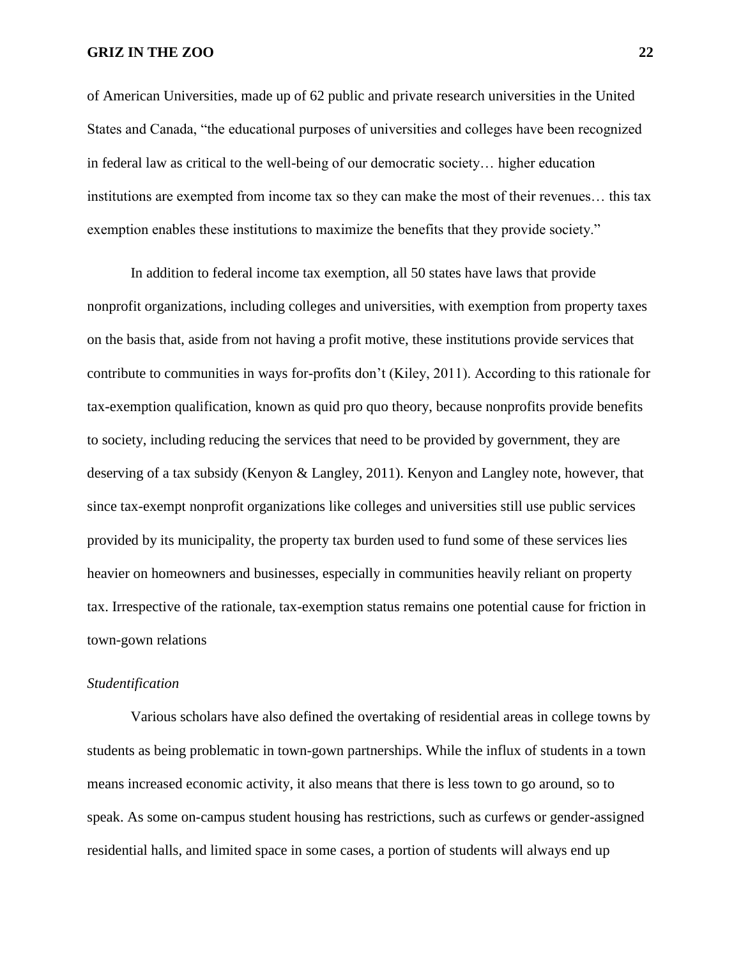of American Universities, made up of 62 public and private research universities in the United States and Canada, "the educational purposes of universities and colleges have been recognized in federal law as critical to the well-being of our democratic society… higher education institutions are exempted from income tax so they can make the most of their revenues… this tax exemption enables these institutions to maximize the benefits that they provide society."

In addition to federal income tax exemption, all 50 states have laws that provide nonprofit organizations, including colleges and universities, with exemption from property taxes on the basis that, aside from not having a profit motive, these institutions provide services that contribute to communities in ways for-profits don't (Kiley, 2011). According to this rationale for tax-exemption qualification, known as quid pro quo theory, because nonprofits provide benefits to society, including reducing the services that need to be provided by government, they are deserving of a tax subsidy (Kenyon & Langley, 2011). Kenyon and Langley note, however, that since tax-exempt nonprofit organizations like colleges and universities still use public services provided by its municipality, the property tax burden used to fund some of these services lies heavier on homeowners and businesses, especially in communities heavily reliant on property tax. Irrespective of the rationale, tax-exemption status remains one potential cause for friction in town-gown relations

#### *Studentification*

Various scholars have also defined the overtaking of residential areas in college towns by students as being problematic in town-gown partnerships. While the influx of students in a town means increased economic activity, it also means that there is less town to go around, so to speak. As some on-campus student housing has restrictions, such as curfews or gender-assigned residential halls, and limited space in some cases, a portion of students will always end up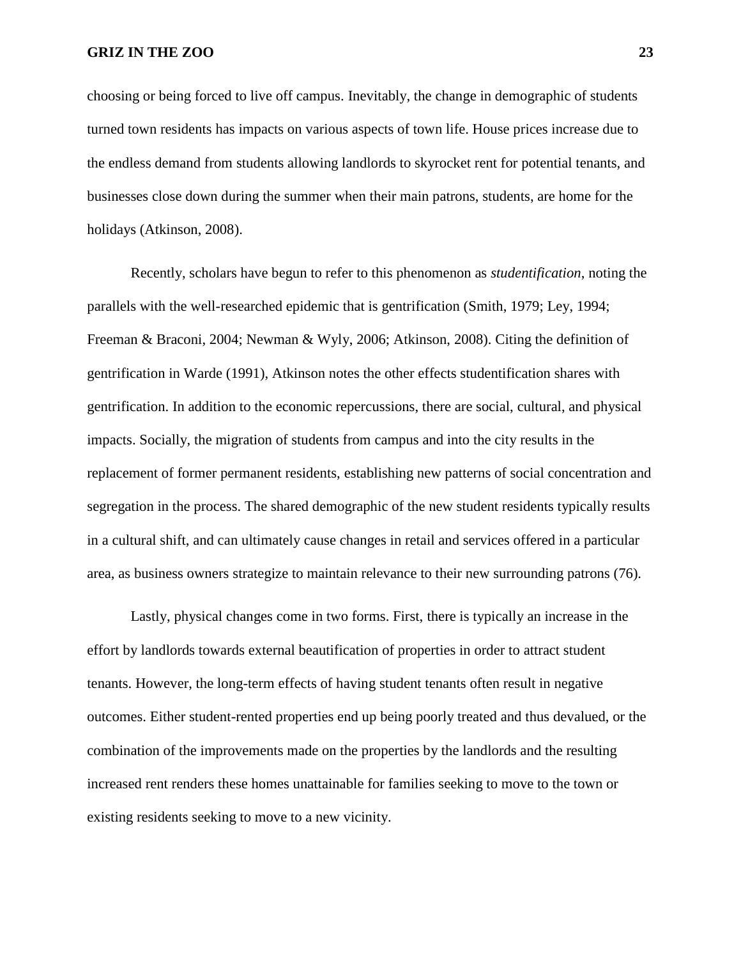choosing or being forced to live off campus. Inevitably, the change in demographic of students turned town residents has impacts on various aspects of town life. House prices increase due to the endless demand from students allowing landlords to skyrocket rent for potential tenants, and businesses close down during the summer when their main patrons, students, are home for the holidays (Atkinson, 2008).

Recently, scholars have begun to refer to this phenomenon as *studentification*, noting the parallels with the well-researched epidemic that is gentrification (Smith, 1979; Ley, 1994; Freeman & Braconi, 2004; Newman & Wyly, 2006; Atkinson, 2008). Citing the definition of gentrification in Warde (1991), Atkinson notes the other effects studentification shares with gentrification. In addition to the economic repercussions, there are social, cultural, and physical impacts. Socially, the migration of students from campus and into the city results in the replacement of former permanent residents, establishing new patterns of social concentration and segregation in the process. The shared demographic of the new student residents typically results in a cultural shift, and can ultimately cause changes in retail and services offered in a particular area, as business owners strategize to maintain relevance to their new surrounding patrons (76).

Lastly, physical changes come in two forms. First, there is typically an increase in the effort by landlords towards external beautification of properties in order to attract student tenants. However, the long-term effects of having student tenants often result in negative outcomes. Either student-rented properties end up being poorly treated and thus devalued, or the combination of the improvements made on the properties by the landlords and the resulting increased rent renders these homes unattainable for families seeking to move to the town or existing residents seeking to move to a new vicinity.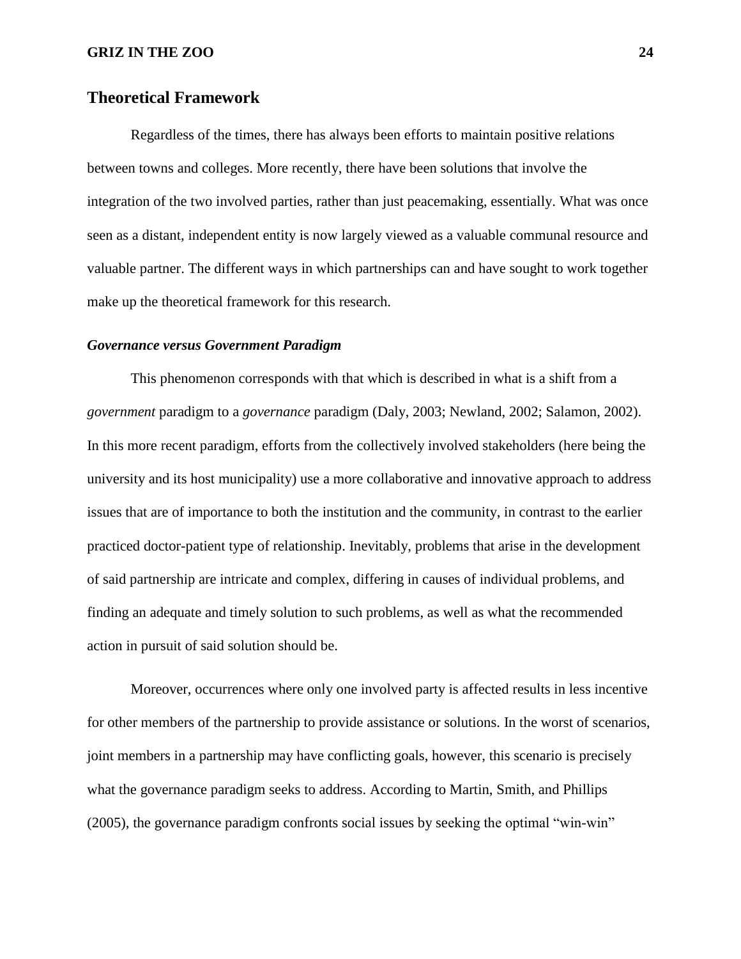## **Theoretical Framework**

Regardless of the times, there has always been efforts to maintain positive relations between towns and colleges. More recently, there have been solutions that involve the integration of the two involved parties, rather than just peacemaking, essentially. What was once seen as a distant, independent entity is now largely viewed as a valuable communal resource and valuable partner. The different ways in which partnerships can and have sought to work together make up the theoretical framework for this research.

#### *Governance versus Government Paradigm*

This phenomenon corresponds with that which is described in what is a shift from a *government* paradigm to a *governance* paradigm (Daly, 2003; Newland, 2002; Salamon, 2002). In this more recent paradigm, efforts from the collectively involved stakeholders (here being the university and its host municipality) use a more collaborative and innovative approach to address issues that are of importance to both the institution and the community, in contrast to the earlier practiced doctor-patient type of relationship. Inevitably, problems that arise in the development of said partnership are intricate and complex, differing in causes of individual problems, and finding an adequate and timely solution to such problems, as well as what the recommended action in pursuit of said solution should be.

Moreover, occurrences where only one involved party is affected results in less incentive for other members of the partnership to provide assistance or solutions. In the worst of scenarios, joint members in a partnership may have conflicting goals, however, this scenario is precisely what the governance paradigm seeks to address. According to Martin, Smith, and Phillips (2005), the governance paradigm confronts social issues by seeking the optimal "win-win"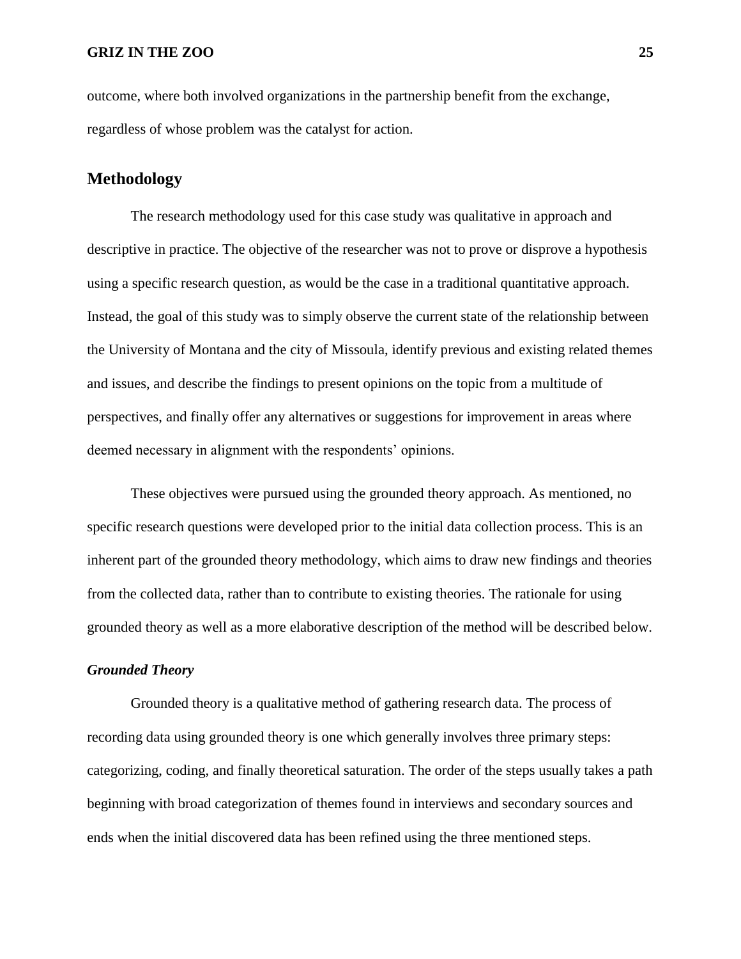outcome, where both involved organizations in the partnership benefit from the exchange, regardless of whose problem was the catalyst for action.

## **Methodology**

The research methodology used for this case study was qualitative in approach and descriptive in practice. The objective of the researcher was not to prove or disprove a hypothesis using a specific research question, as would be the case in a traditional quantitative approach. Instead, the goal of this study was to simply observe the current state of the relationship between the University of Montana and the city of Missoula, identify previous and existing related themes and issues, and describe the findings to present opinions on the topic from a multitude of perspectives, and finally offer any alternatives or suggestions for improvement in areas where deemed necessary in alignment with the respondents' opinions.

These objectives were pursued using the grounded theory approach. As mentioned, no specific research questions were developed prior to the initial data collection process. This is an inherent part of the grounded theory methodology, which aims to draw new findings and theories from the collected data, rather than to contribute to existing theories. The rationale for using grounded theory as well as a more elaborative description of the method will be described below.

#### *Grounded Theory*

Grounded theory is a qualitative method of gathering research data. The process of recording data using grounded theory is one which generally involves three primary steps: categorizing, coding, and finally theoretical saturation. The order of the steps usually takes a path beginning with broad categorization of themes found in interviews and secondary sources and ends when the initial discovered data has been refined using the three mentioned steps.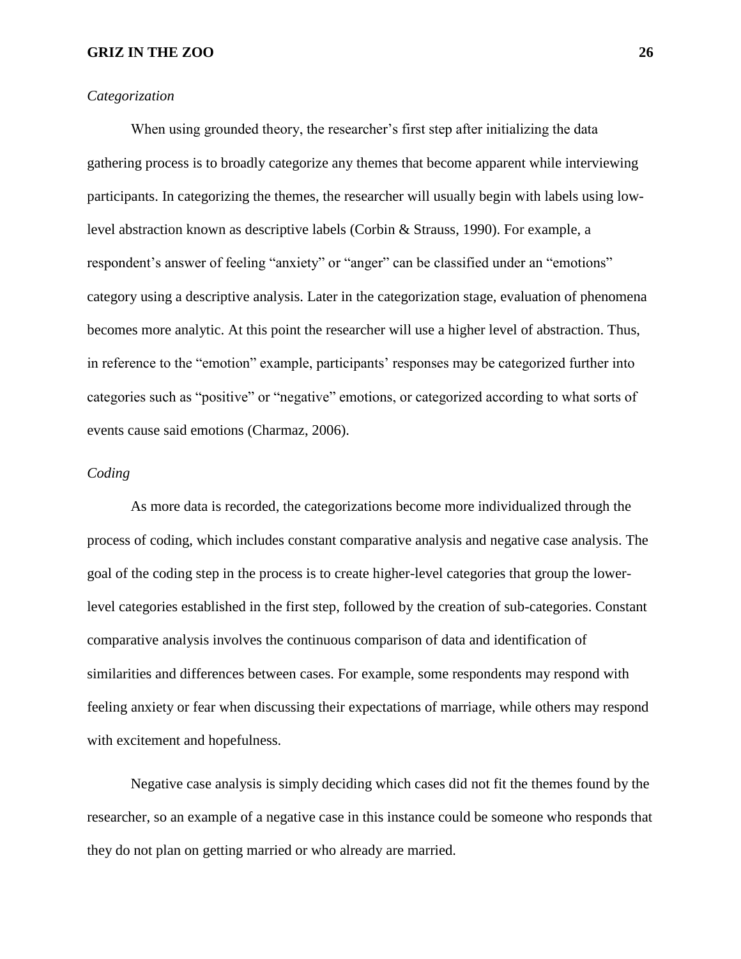#### *Categorization*

When using grounded theory, the researcher's first step after initializing the data gathering process is to broadly categorize any themes that become apparent while interviewing participants. In categorizing the themes, the researcher will usually begin with labels using lowlevel abstraction known as descriptive labels (Corbin & Strauss, 1990). For example, a respondent's answer of feeling "anxiety" or "anger" can be classified under an "emotions" category using a descriptive analysis. Later in the categorization stage, evaluation of phenomena becomes more analytic. At this point the researcher will use a higher level of abstraction. Thus, in reference to the "emotion" example, participants' responses may be categorized further into categories such as "positive" or "negative" emotions, or categorized according to what sorts of events cause said emotions (Charmaz, 2006).

### *Coding*

As more data is recorded, the categorizations become more individualized through the process of coding, which includes constant comparative analysis and negative case analysis. The goal of the coding step in the process is to create higher-level categories that group the lowerlevel categories established in the first step, followed by the creation of sub-categories. Constant comparative analysis involves the continuous comparison of data and identification of similarities and differences between cases. For example, some respondents may respond with feeling anxiety or fear when discussing their expectations of marriage, while others may respond with excitement and hopefulness.

Negative case analysis is simply deciding which cases did not fit the themes found by the researcher, so an example of a negative case in this instance could be someone who responds that they do not plan on getting married or who already are married.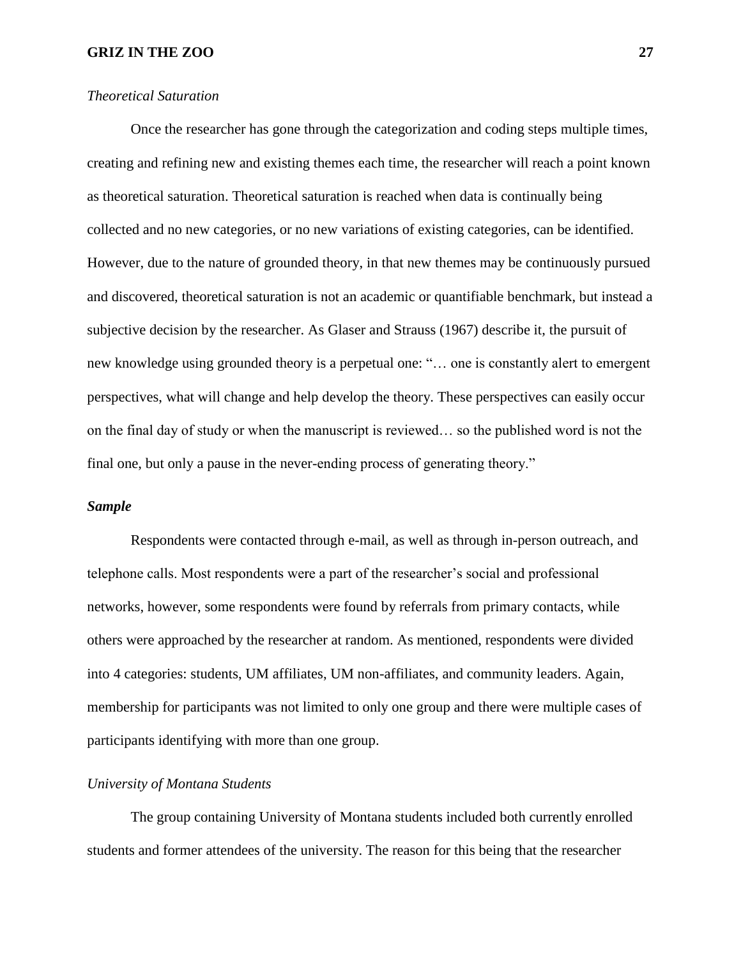#### *Theoretical Saturation*

Once the researcher has gone through the categorization and coding steps multiple times, creating and refining new and existing themes each time, the researcher will reach a point known as theoretical saturation. Theoretical saturation is reached when data is continually being collected and no new categories, or no new variations of existing categories, can be identified. However, due to the nature of grounded theory, in that new themes may be continuously pursued and discovered, theoretical saturation is not an academic or quantifiable benchmark, but instead a subjective decision by the researcher. As Glaser and Strauss (1967) describe it, the pursuit of new knowledge using grounded theory is a perpetual one: "… one is constantly alert to emergent perspectives, what will change and help develop the theory. These perspectives can easily occur on the final day of study or when the manuscript is reviewed… so the published word is not the final one, but only a pause in the never-ending process of generating theory."

#### *Sample*

Respondents were contacted through e-mail, as well as through in-person outreach, and telephone calls. Most respondents were a part of the researcher's social and professional networks, however, some respondents were found by referrals from primary contacts, while others were approached by the researcher at random. As mentioned, respondents were divided into 4 categories: students, UM affiliates, UM non-affiliates, and community leaders. Again, membership for participants was not limited to only one group and there were multiple cases of participants identifying with more than one group.

#### *University of Montana Students*

The group containing University of Montana students included both currently enrolled students and former attendees of the university. The reason for this being that the researcher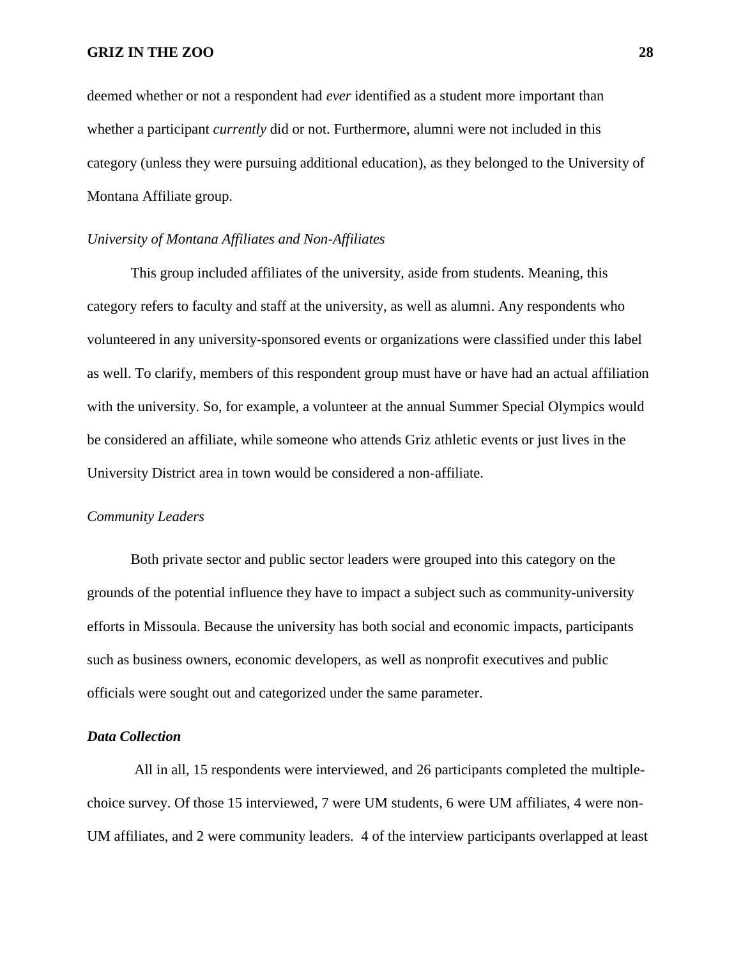deemed whether or not a respondent had *ever* identified as a student more important than whether a participant *currently* did or not. Furthermore, alumni were not included in this category (unless they were pursuing additional education), as they belonged to the University of Montana Affiliate group.

## *University of Montana Affiliates and Non-Affiliates*

This group included affiliates of the university, aside from students. Meaning, this category refers to faculty and staff at the university, as well as alumni. Any respondents who volunteered in any university-sponsored events or organizations were classified under this label as well. To clarify, members of this respondent group must have or have had an actual affiliation with the university. So, for example, a volunteer at the annual Summer Special Olympics would be considered an affiliate, while someone who attends Griz athletic events or just lives in the University District area in town would be considered a non-affiliate.

#### *Community Leaders*

Both private sector and public sector leaders were grouped into this category on the grounds of the potential influence they have to impact a subject such as community-university efforts in Missoula. Because the university has both social and economic impacts, participants such as business owners, economic developers, as well as nonprofit executives and public officials were sought out and categorized under the same parameter.

#### *Data Collection*

All in all, 15 respondents were interviewed, and 26 participants completed the multiplechoice survey. Of those 15 interviewed, 7 were UM students, 6 were UM affiliates, 4 were non-UM affiliates, and 2 were community leaders. 4 of the interview participants overlapped at least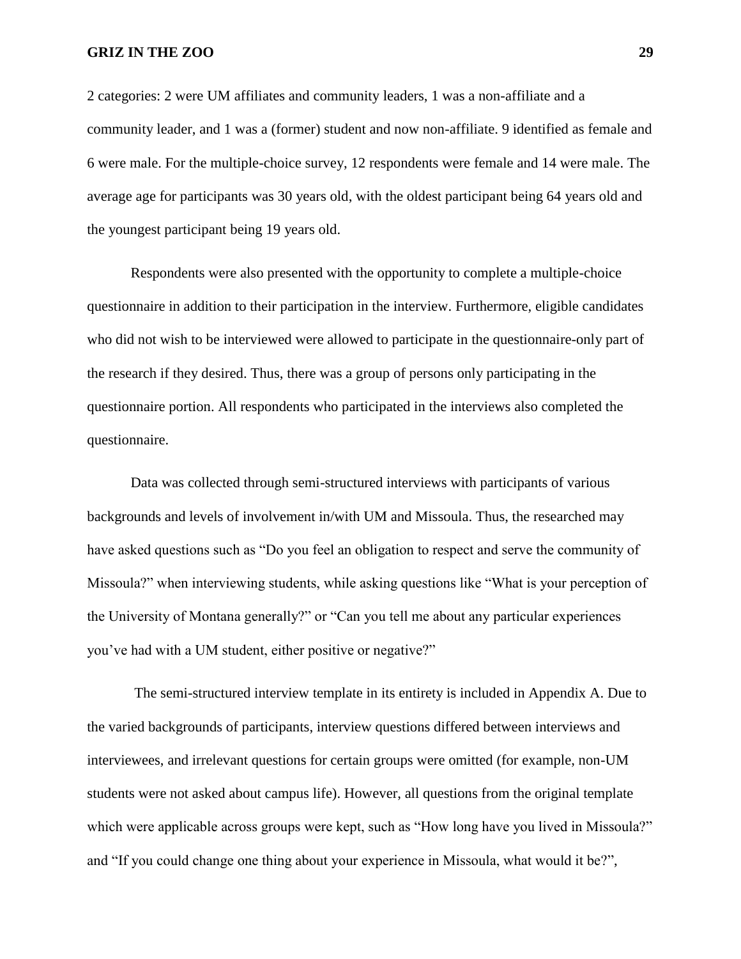2 categories: 2 were UM affiliates and community leaders, 1 was a non-affiliate and a community leader, and 1 was a (former) student and now non-affiliate. 9 identified as female and 6 were male. For the multiple-choice survey, 12 respondents were female and 14 were male. The average age for participants was 30 years old, with the oldest participant being 64 years old and the youngest participant being 19 years old.

Respondents were also presented with the opportunity to complete a multiple-choice questionnaire in addition to their participation in the interview. Furthermore, eligible candidates who did not wish to be interviewed were allowed to participate in the questionnaire-only part of the research if they desired. Thus, there was a group of persons only participating in the questionnaire portion. All respondents who participated in the interviews also completed the questionnaire.

Data was collected through semi-structured interviews with participants of various backgrounds and levels of involvement in/with UM and Missoula. Thus, the researched may have asked questions such as "Do you feel an obligation to respect and serve the community of Missoula?" when interviewing students, while asking questions like "What is your perception of the University of Montana generally?" or "Can you tell me about any particular experiences you've had with a UM student, either positive or negative?"

The semi-structured interview template in its entirety is included in Appendix A. Due to the varied backgrounds of participants, interview questions differed between interviews and interviewees, and irrelevant questions for certain groups were omitted (for example, non-UM students were not asked about campus life). However, all questions from the original template which were applicable across groups were kept, such as "How long have you lived in Missoula?" and "If you could change one thing about your experience in Missoula, what would it be?",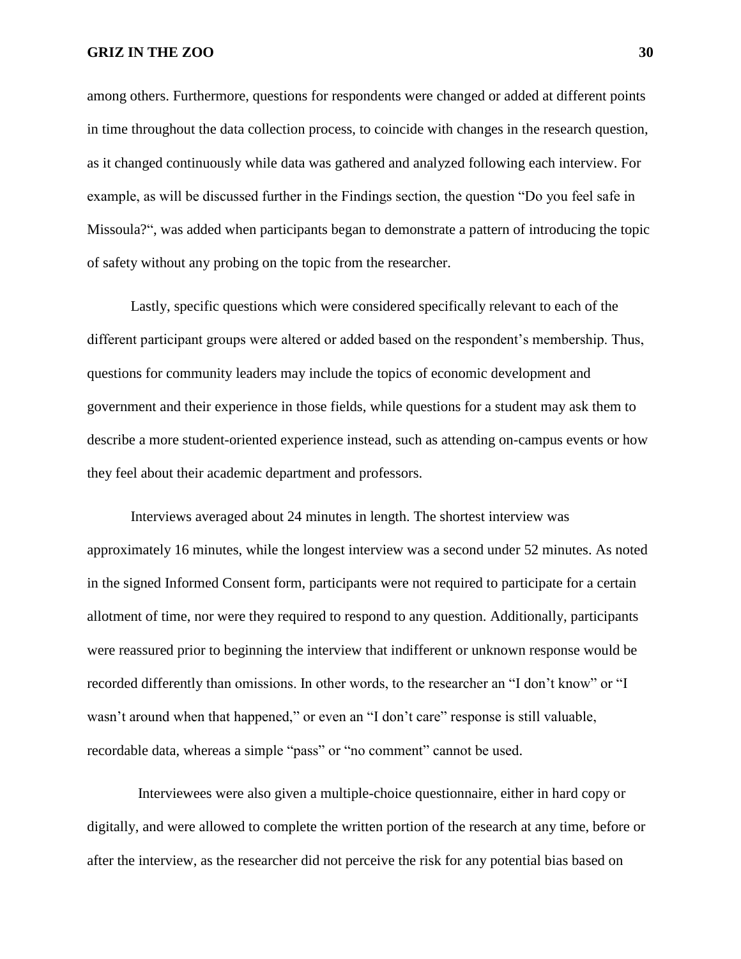among others. Furthermore, questions for respondents were changed or added at different points in time throughout the data collection process, to coincide with changes in the research question, as it changed continuously while data was gathered and analyzed following each interview. For example, as will be discussed further in the Findings section, the question "Do you feel safe in Missoula?", was added when participants began to demonstrate a pattern of introducing the topic of safety without any probing on the topic from the researcher.

Lastly, specific questions which were considered specifically relevant to each of the different participant groups were altered or added based on the respondent's membership. Thus, questions for community leaders may include the topics of economic development and government and their experience in those fields, while questions for a student may ask them to describe a more student-oriented experience instead, such as attending on-campus events or how they feel about their academic department and professors.

Interviews averaged about 24 minutes in length. The shortest interview was approximately 16 minutes, while the longest interview was a second under 52 minutes. As noted in the signed Informed Consent form, participants were not required to participate for a certain allotment of time, nor were they required to respond to any question. Additionally, participants were reassured prior to beginning the interview that indifferent or unknown response would be recorded differently than omissions. In other words, to the researcher an "I don't know" or "I wasn't around when that happened," or even an "I don't care" response is still valuable, recordable data, whereas a simple "pass" or "no comment" cannot be used.

 Interviewees were also given a multiple-choice questionnaire, either in hard copy or digitally, and were allowed to complete the written portion of the research at any time, before or after the interview, as the researcher did not perceive the risk for any potential bias based on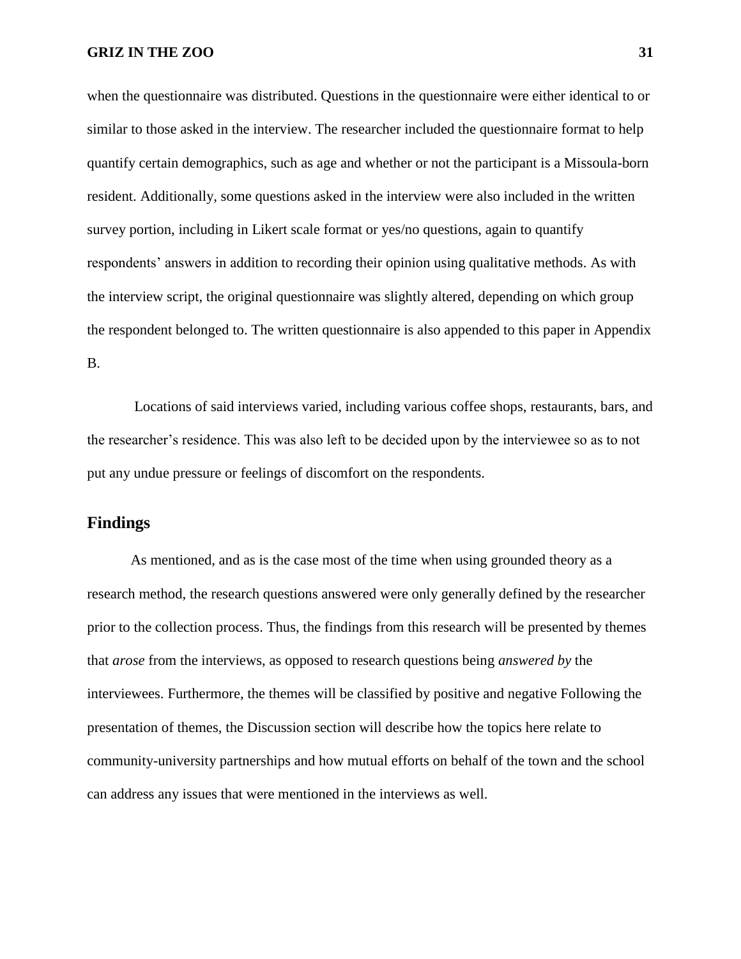when the questionnaire was distributed. Questions in the questionnaire were either identical to or similar to those asked in the interview. The researcher included the questionnaire format to help quantify certain demographics, such as age and whether or not the participant is a Missoula-born resident. Additionally, some questions asked in the interview were also included in the written survey portion, including in Likert scale format or yes/no questions, again to quantify respondents' answers in addition to recording their opinion using qualitative methods. As with the interview script, the original questionnaire was slightly altered, depending on which group the respondent belonged to. The written questionnaire is also appended to this paper in Appendix B.

Locations of said interviews varied, including various coffee shops, restaurants, bars, and the researcher's residence. This was also left to be decided upon by the interviewee so as to not put any undue pressure or feelings of discomfort on the respondents.

## **Findings**

As mentioned, and as is the case most of the time when using grounded theory as a research method, the research questions answered were only generally defined by the researcher prior to the collection process. Thus, the findings from this research will be presented by themes that *arose* from the interviews, as opposed to research questions being *answered by* the interviewees. Furthermore, the themes will be classified by positive and negative Following the presentation of themes, the Discussion section will describe how the topics here relate to community-university partnerships and how mutual efforts on behalf of the town and the school can address any issues that were mentioned in the interviews as well.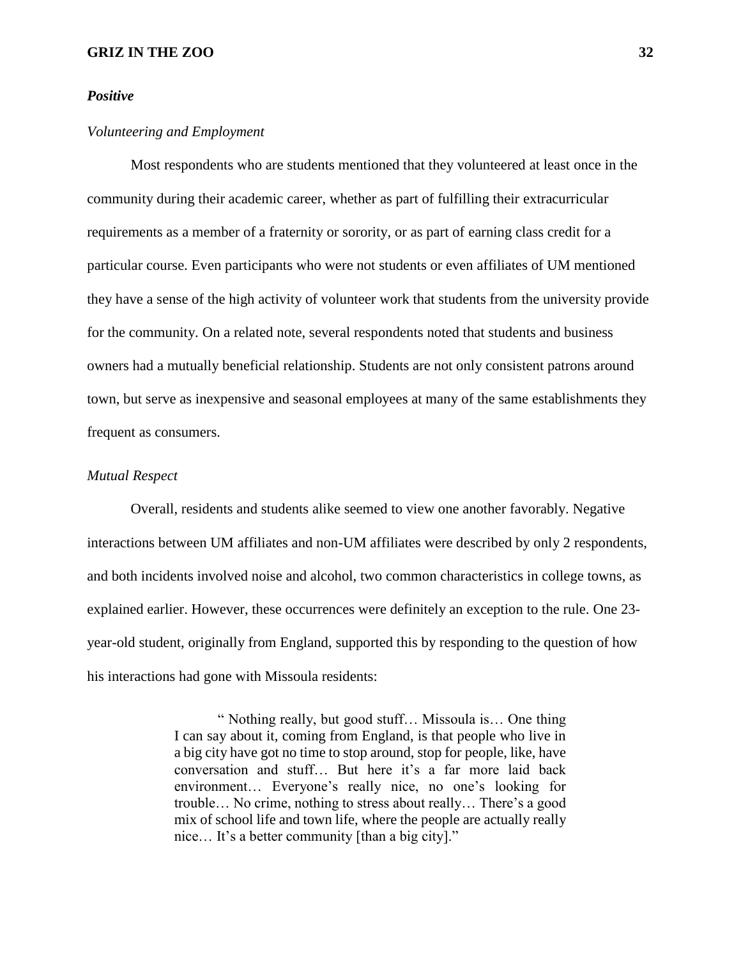#### *Positive*

#### *Volunteering and Employment*

Most respondents who are students mentioned that they volunteered at least once in the community during their academic career, whether as part of fulfilling their extracurricular requirements as a member of a fraternity or sorority, or as part of earning class credit for a particular course. Even participants who were not students or even affiliates of UM mentioned they have a sense of the high activity of volunteer work that students from the university provide for the community. On a related note, several respondents noted that students and business owners had a mutually beneficial relationship. Students are not only consistent patrons around town, but serve as inexpensive and seasonal employees at many of the same establishments they frequent as consumers.

#### *Mutual Respect*

Overall, residents and students alike seemed to view one another favorably. Negative interactions between UM affiliates and non-UM affiliates were described by only 2 respondents, and both incidents involved noise and alcohol, two common characteristics in college towns, as explained earlier. However, these occurrences were definitely an exception to the rule. One 23 year-old student, originally from England, supported this by responding to the question of how his interactions had gone with Missoula residents:

> " Nothing really, but good stuff… Missoula is… One thing I can say about it, coming from England, is that people who live in a big city have got no time to stop around, stop for people, like, have conversation and stuff… But here it's a far more laid back environment… Everyone's really nice, no one's looking for trouble… No crime, nothing to stress about really… There's a good mix of school life and town life, where the people are actually really nice… It's a better community [than a big city]."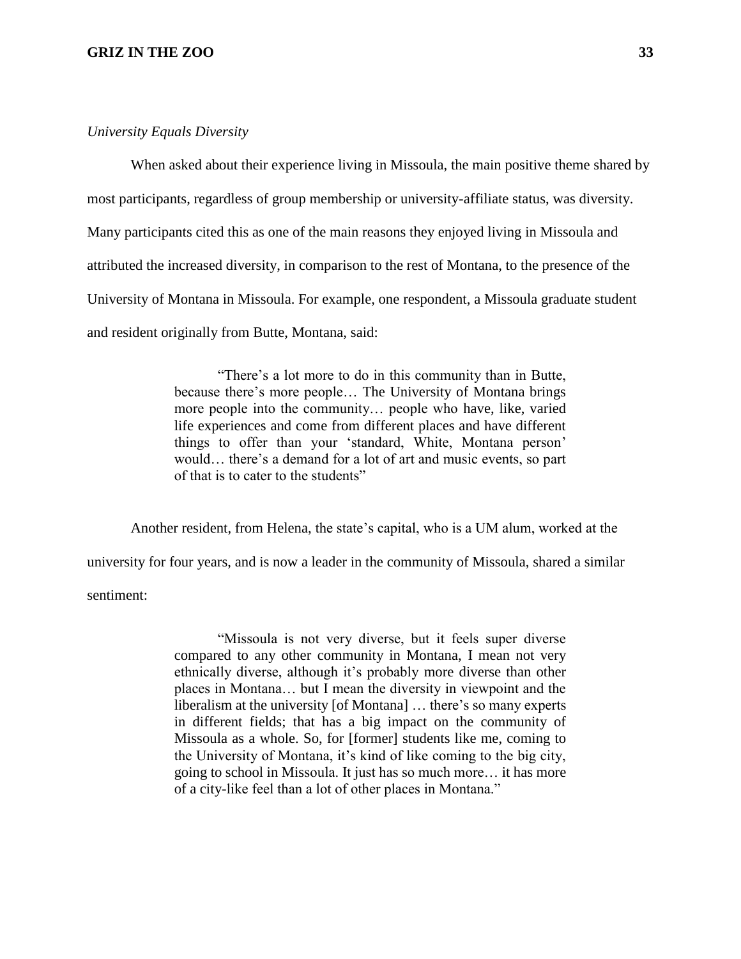#### *University Equals Diversity*

When asked about their experience living in Missoula, the main positive theme shared by most participants, regardless of group membership or university-affiliate status, was diversity. Many participants cited this as one of the main reasons they enjoyed living in Missoula and attributed the increased diversity, in comparison to the rest of Montana, to the presence of the University of Montana in Missoula. For example, one respondent, a Missoula graduate student and resident originally from Butte, Montana, said:

> "There's a lot more to do in this community than in Butte, because there's more people… The University of Montana brings more people into the community… people who have, like, varied life experiences and come from different places and have different things to offer than your 'standard, White, Montana person' would… there's a demand for a lot of art and music events, so part of that is to cater to the students"

Another resident, from Helena, the state's capital, who is a UM alum, worked at the university for four years, and is now a leader in the community of Missoula, shared a similar sentiment:

> "Missoula is not very diverse, but it feels super diverse compared to any other community in Montana, I mean not very ethnically diverse, although it's probably more diverse than other places in Montana… but I mean the diversity in viewpoint and the liberalism at the university [of Montana] … there's so many experts in different fields; that has a big impact on the community of Missoula as a whole. So, for [former] students like me, coming to the University of Montana, it's kind of like coming to the big city, going to school in Missoula. It just has so much more… it has more of a city-like feel than a lot of other places in Montana."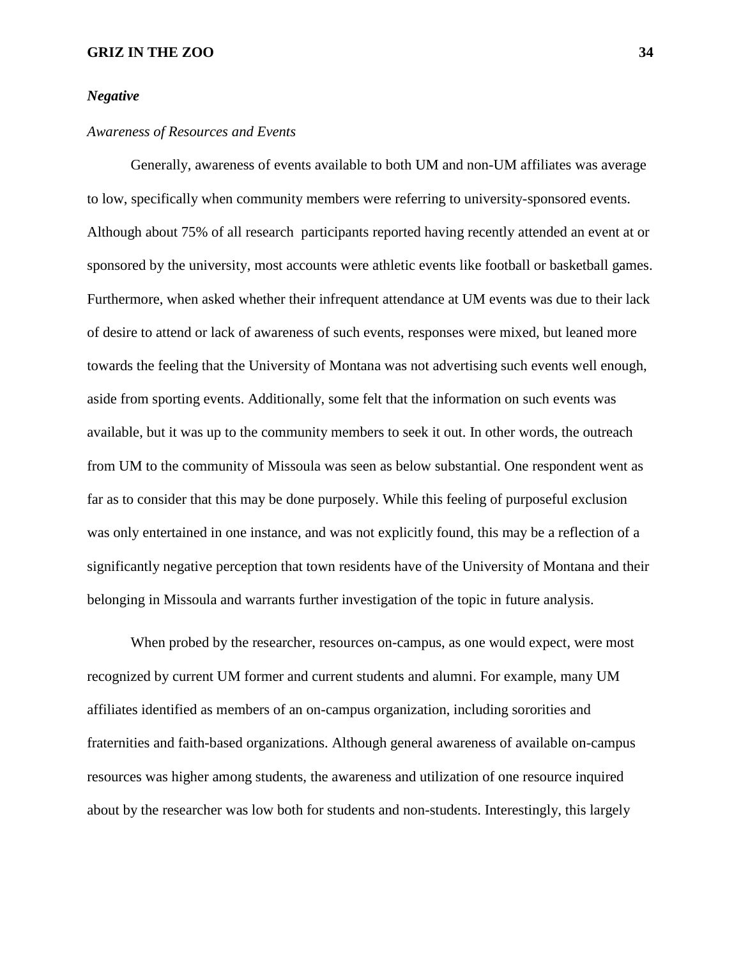#### *Negative*

#### *Awareness of Resources and Events*

Generally, awareness of events available to both UM and non-UM affiliates was average to low, specifically when community members were referring to university-sponsored events. Although about 75% of all research participants reported having recently attended an event at or sponsored by the university, most accounts were athletic events like football or basketball games. Furthermore, when asked whether their infrequent attendance at UM events was due to their lack of desire to attend or lack of awareness of such events, responses were mixed, but leaned more towards the feeling that the University of Montana was not advertising such events well enough, aside from sporting events. Additionally, some felt that the information on such events was available, but it was up to the community members to seek it out. In other words, the outreach from UM to the community of Missoula was seen as below substantial. One respondent went as far as to consider that this may be done purposely. While this feeling of purposeful exclusion was only entertained in one instance, and was not explicitly found, this may be a reflection of a significantly negative perception that town residents have of the University of Montana and their belonging in Missoula and warrants further investigation of the topic in future analysis.

When probed by the researcher, resources on-campus, as one would expect, were most recognized by current UM former and current students and alumni. For example, many UM affiliates identified as members of an on-campus organization, including sororities and fraternities and faith-based organizations. Although general awareness of available on-campus resources was higher among students, the awareness and utilization of one resource inquired about by the researcher was low both for students and non-students. Interestingly, this largely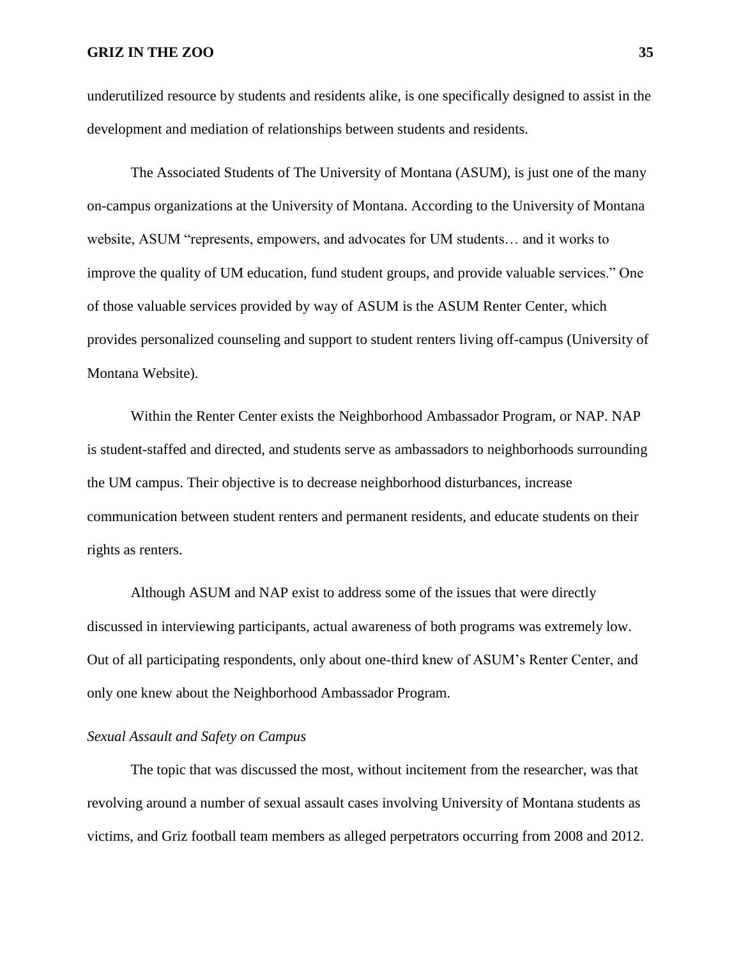underutilized resource by students and residents alike, is one specifically designed to assist in the development and mediation of relationships between students and residents.

The Associated Students of The University of Montana (ASUM), is just one of the many on-campus organizations at the University of Montana. According to the University of Montana website, ASUM "represents, empowers, and advocates for UM students… and it works to improve the quality of UM education, fund student groups, and provide valuable services." One of those valuable services provided by way of ASUM is the ASUM Renter Center, which provides personalized counseling and support to student renters living off-campus (University of Montana Website).

Within the Renter Center exists the Neighborhood Ambassador Program, or NAP. NAP is student-staffed and directed, and students serve as ambassadors to neighborhoods surrounding the UM campus. Their objective is to decrease neighborhood disturbances, increase communication between student renters and permanent residents, and educate students on their rights as renters.

Although ASUM and NAP exist to address some of the issues that were directly discussed in interviewing participants, actual awareness of both programs was extremely low. Out of all participating respondents, only about one-third knew of ASUM's Renter Center, and only one knew about the Neighborhood Ambassador Program.

#### *Sexual Assault and Safety on Campus*

The topic that was discussed the most, without incitement from the researcher, was that revolving around a number of sexual assault cases involving University of Montana students as victims, and Griz football team members as alleged perpetrators occurring from 2008 and 2012.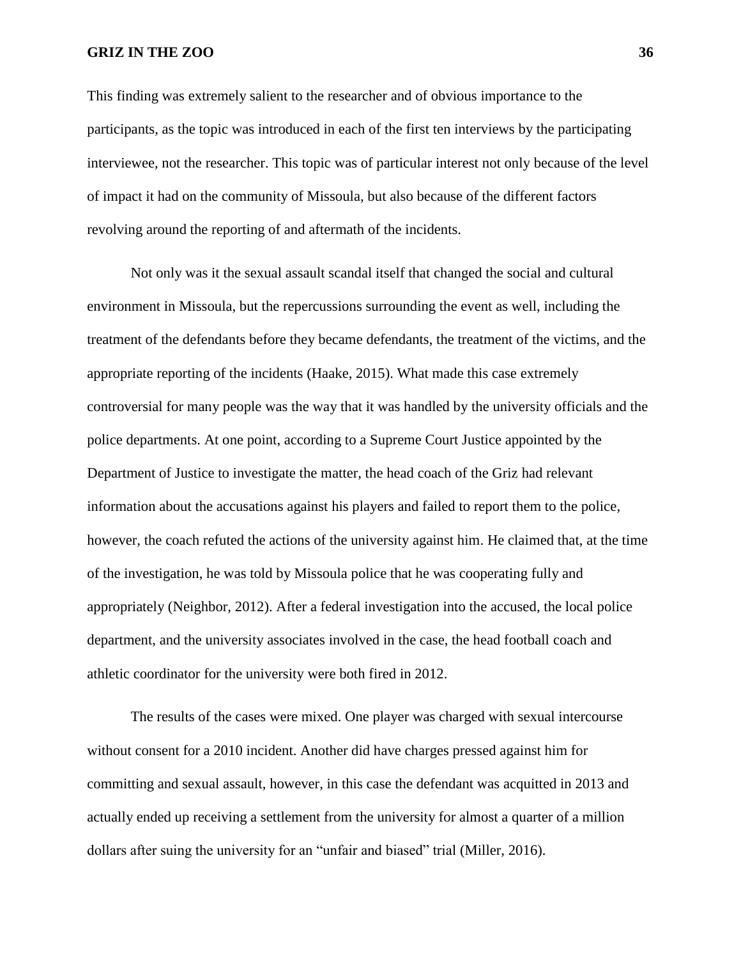This finding was extremely salient to the researcher and of obvious importance to the participants, as the topic was introduced in each of the first ten interviews by the participating interviewee, not the researcher. This topic was of particular interest not only because of the level of impact it had on the community of Missoula, but also because of the different factors revolving around the reporting of and aftermath of the incidents.

Not only was it the sexual assault scandal itself that changed the social and cultural environment in Missoula, but the repercussions surrounding the event as well, including the treatment of the defendants before they became defendants, the treatment of the victims, and the appropriate reporting of the incidents (Haake, 2015). What made this case extremely controversial for many people was the way that it was handled by the university officials and the police departments. At one point, according to a Supreme Court Justice appointed by the Department of Justice to investigate the matter, the head coach of the Griz had relevant information about the accusations against his players and failed to report them to the police, however, the coach refuted the actions of the university against him. He claimed that, at the time of the investigation, he was told by Missoula police that he was cooperating fully and appropriately (Neighbor, 2012). After a federal investigation into the accused, the local police department, and the university associates involved in the case, the head football coach and athletic coordinator for the university were both fired in 2012.

The results of the cases were mixed. One player was charged with sexual intercourse without consent for a 2010 incident. Another did have charges pressed against him for committing and sexual assault, however, in this case the defendant was acquitted in 2013 and actually ended up receiving a settlement from the university for almost a quarter of a million dollars after suing the university for an "unfair and biased" trial (Miller, 2016).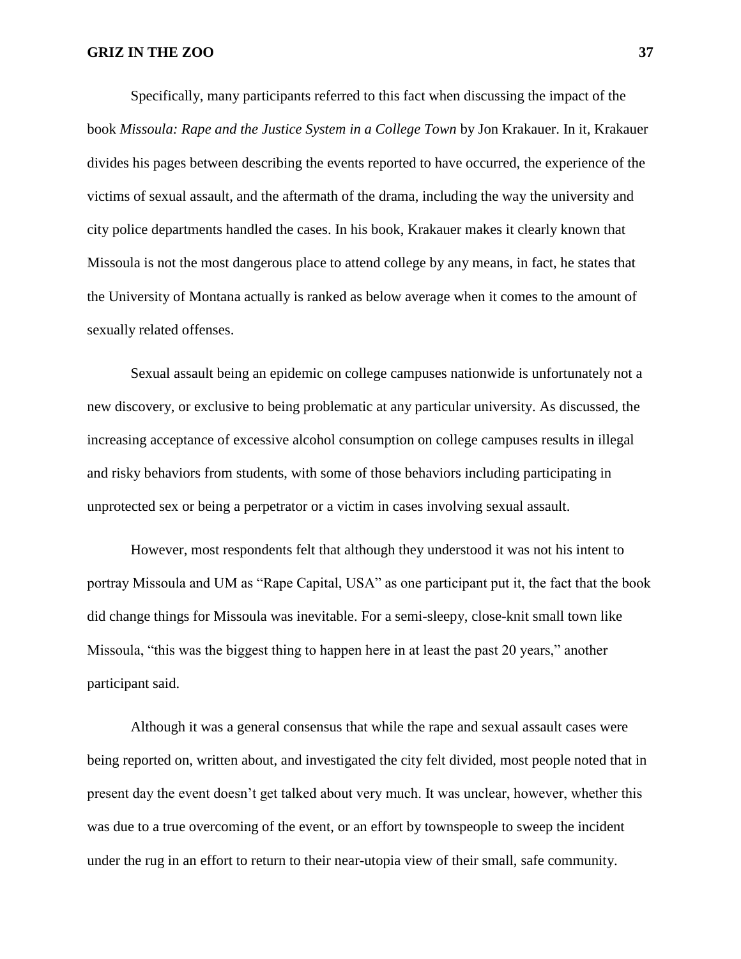Specifically, many participants referred to this fact when discussing the impact of the book *Missoula: Rape and the Justice System in a College Town* by Jon Krakauer. In it, Krakauer divides his pages between describing the events reported to have occurred, the experience of the victims of sexual assault, and the aftermath of the drama, including the way the university and city police departments handled the cases. In his book, Krakauer makes it clearly known that Missoula is not the most dangerous place to attend college by any means, in fact, he states that the University of Montana actually is ranked as below average when it comes to the amount of sexually related offenses.

Sexual assault being an epidemic on college campuses nationwide is unfortunately not a new discovery, or exclusive to being problematic at any particular university. As discussed, the increasing acceptance of excessive alcohol consumption on college campuses results in illegal and risky behaviors from students, with some of those behaviors including participating in unprotected sex or being a perpetrator or a victim in cases involving sexual assault.

However, most respondents felt that although they understood it was not his intent to portray Missoula and UM as "Rape Capital, USA" as one participant put it, the fact that the book did change things for Missoula was inevitable. For a semi-sleepy, close-knit small town like Missoula, "this was the biggest thing to happen here in at least the past 20 years," another participant said.

Although it was a general consensus that while the rape and sexual assault cases were being reported on, written about, and investigated the city felt divided, most people noted that in present day the event doesn't get talked about very much. It was unclear, however, whether this was due to a true overcoming of the event, or an effort by townspeople to sweep the incident under the rug in an effort to return to their near-utopia view of their small, safe community.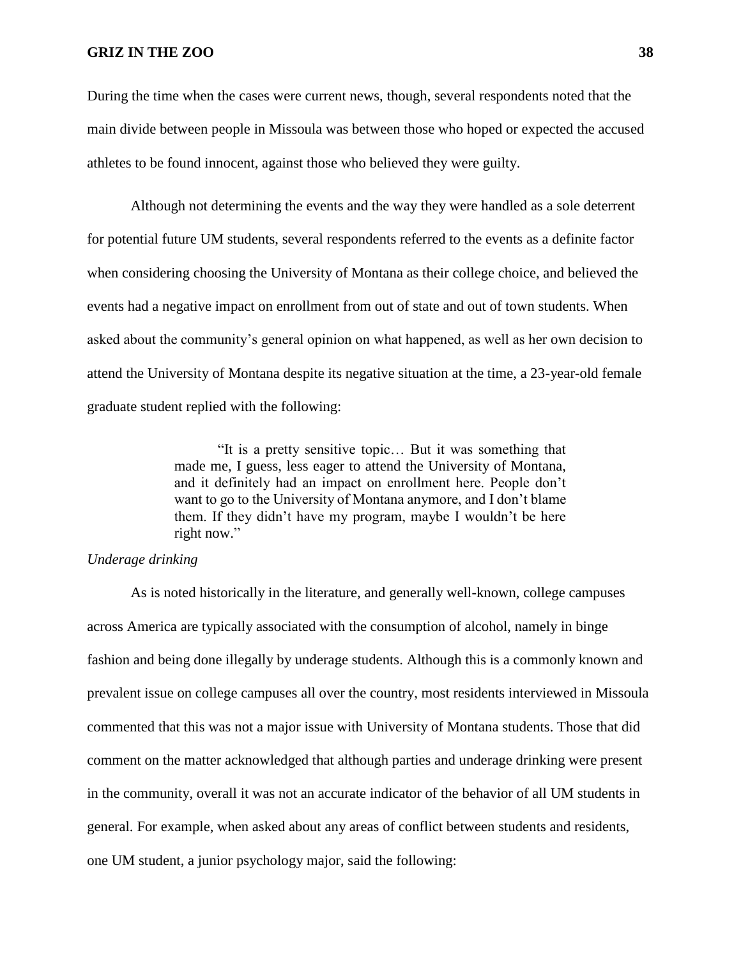During the time when the cases were current news, though, several respondents noted that the main divide between people in Missoula was between those who hoped or expected the accused athletes to be found innocent, against those who believed they were guilty.

Although not determining the events and the way they were handled as a sole deterrent for potential future UM students, several respondents referred to the events as a definite factor when considering choosing the University of Montana as their college choice, and believed the events had a negative impact on enrollment from out of state and out of town students. When asked about the community's general opinion on what happened, as well as her own decision to attend the University of Montana despite its negative situation at the time, a 23-year-old female graduate student replied with the following:

> "It is a pretty sensitive topic… But it was something that made me, I guess, less eager to attend the University of Montana, and it definitely had an impact on enrollment here. People don't want to go to the University of Montana anymore, and I don't blame them. If they didn't have my program, maybe I wouldn't be here right now."

## *Underage drinking*

As is noted historically in the literature, and generally well-known, college campuses across America are typically associated with the consumption of alcohol, namely in binge fashion and being done illegally by underage students. Although this is a commonly known and prevalent issue on college campuses all over the country, most residents interviewed in Missoula commented that this was not a major issue with University of Montana students. Those that did comment on the matter acknowledged that although parties and underage drinking were present in the community, overall it was not an accurate indicator of the behavior of all UM students in general. For example, when asked about any areas of conflict between students and residents, one UM student, a junior psychology major, said the following: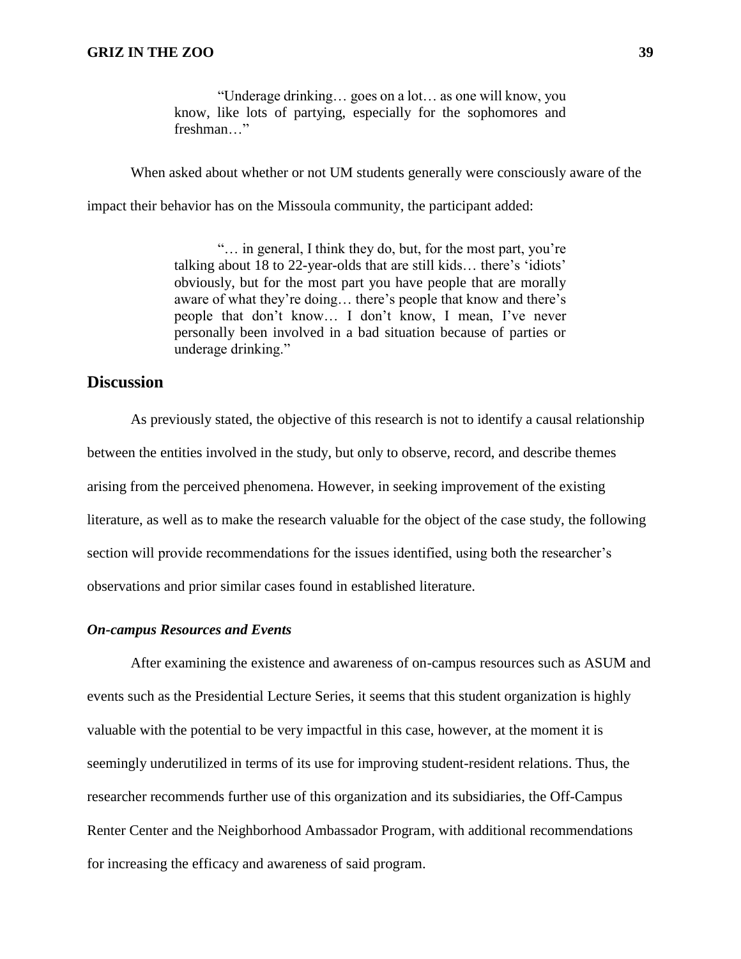"Underage drinking… goes on a lot… as one will know, you know, like lots of partying, especially for the sophomores and freshman…"

When asked about whether or not UM students generally were consciously aware of the

impact their behavior has on the Missoula community, the participant added:

"… in general, I think they do, but, for the most part, you're talking about 18 to 22-year-olds that are still kids… there's 'idiots' obviously, but for the most part you have people that are morally aware of what they're doing… there's people that know and there's people that don't know… I don't know, I mean, I've never personally been involved in a bad situation because of parties or underage drinking."

## **Discussion**

As previously stated, the objective of this research is not to identify a causal relationship between the entities involved in the study, but only to observe, record, and describe themes arising from the perceived phenomena. However, in seeking improvement of the existing literature, as well as to make the research valuable for the object of the case study, the following section will provide recommendations for the issues identified, using both the researcher's observations and prior similar cases found in established literature.

#### *On-campus Resources and Events*

After examining the existence and awareness of on-campus resources such as ASUM and events such as the Presidential Lecture Series, it seems that this student organization is highly valuable with the potential to be very impactful in this case, however, at the moment it is seemingly underutilized in terms of its use for improving student-resident relations. Thus, the researcher recommends further use of this organization and its subsidiaries, the Off-Campus Renter Center and the Neighborhood Ambassador Program, with additional recommendations for increasing the efficacy and awareness of said program.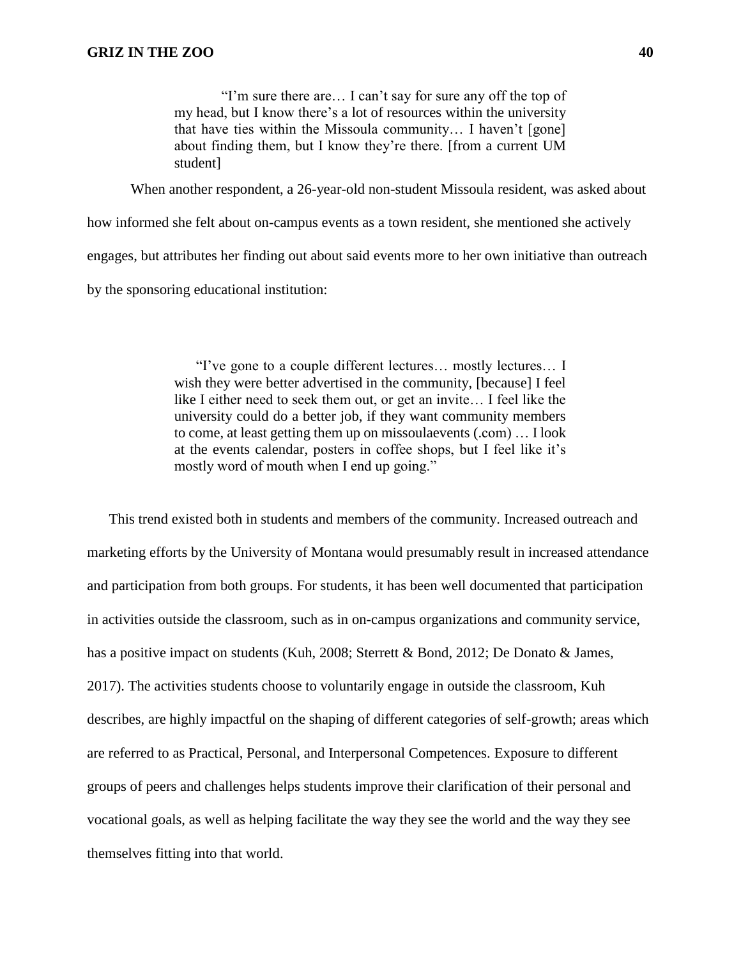"I'm sure there are… I can't say for sure any off the top of my head, but I know there's a lot of resources within the university that have ties within the Missoula community… I haven't [gone] about finding them, but I know they're there. [from a current UM student]

When another respondent, a 26-year-old non-student Missoula resident, was asked about

how informed she felt about on-campus events as a town resident, she mentioned she actively engages, but attributes her finding out about said events more to her own initiative than outreach by the sponsoring educational institution:

> "I've gone to a couple different lectures… mostly lectures… I wish they were better advertised in the community, [because] I feel like I either need to seek them out, or get an invite… I feel like the university could do a better job, if they want community members to come, at least getting them up on missoulaevents (.com) … I look at the events calendar, posters in coffee shops, but I feel like it's mostly word of mouth when I end up going."

This trend existed both in students and members of the community. Increased outreach and marketing efforts by the University of Montana would presumably result in increased attendance and participation from both groups. For students, it has been well documented that participation in activities outside the classroom, such as in on-campus organizations and community service, has a positive impact on students (Kuh, 2008; Sterrett & Bond, 2012; De Donato & James, 2017). The activities students choose to voluntarily engage in outside the classroom, Kuh describes, are highly impactful on the shaping of different categories of self-growth; areas which are referred to as Practical, Personal, and Interpersonal Competences. Exposure to different groups of peers and challenges helps students improve their clarification of their personal and vocational goals, as well as helping facilitate the way they see the world and the way they see themselves fitting into that world.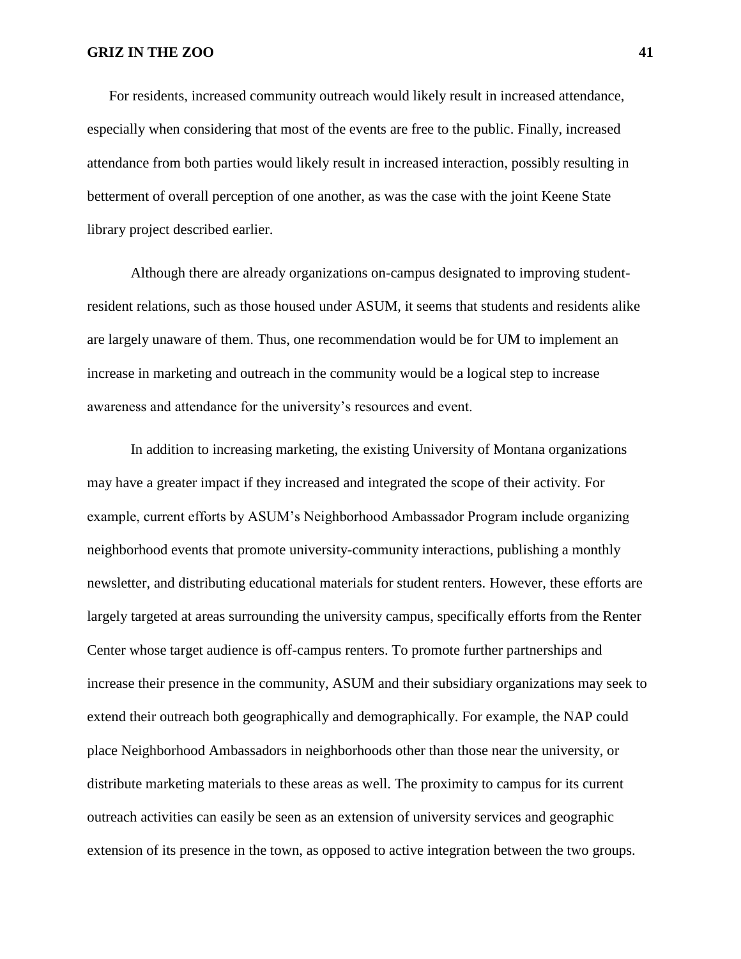For residents, increased community outreach would likely result in increased attendance, especially when considering that most of the events are free to the public. Finally, increased attendance from both parties would likely result in increased interaction, possibly resulting in betterment of overall perception of one another, as was the case with the joint Keene State library project described earlier.

Although there are already organizations on-campus designated to improving studentresident relations, such as those housed under ASUM, it seems that students and residents alike are largely unaware of them. Thus, one recommendation would be for UM to implement an increase in marketing and outreach in the community would be a logical step to increase awareness and attendance for the university's resources and event.

In addition to increasing marketing, the existing University of Montana organizations may have a greater impact if they increased and integrated the scope of their activity. For example, current efforts by ASUM's Neighborhood Ambassador Program include organizing neighborhood events that promote university-community interactions, publishing a monthly newsletter, and distributing educational materials for student renters. However, these efforts are largely targeted at areas surrounding the university campus, specifically efforts from the Renter Center whose target audience is off-campus renters. To promote further partnerships and increase their presence in the community, ASUM and their subsidiary organizations may seek to extend their outreach both geographically and demographically. For example, the NAP could place Neighborhood Ambassadors in neighborhoods other than those near the university, or distribute marketing materials to these areas as well. The proximity to campus for its current outreach activities can easily be seen as an extension of university services and geographic extension of its presence in the town, as opposed to active integration between the two groups.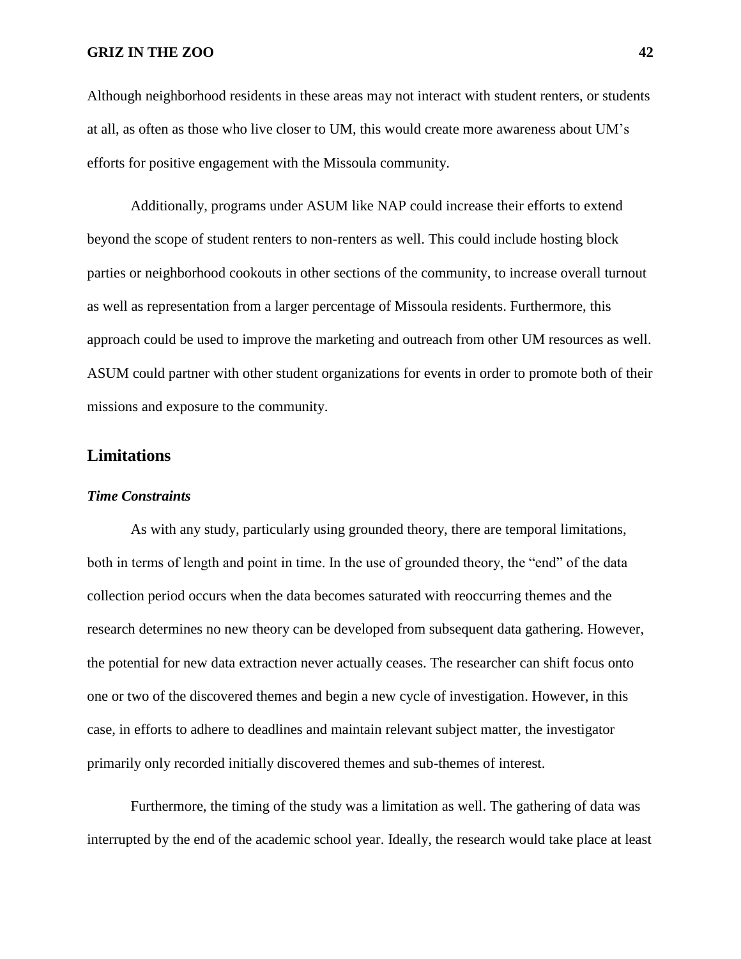Although neighborhood residents in these areas may not interact with student renters, or students at all, as often as those who live closer to UM, this would create more awareness about UM's efforts for positive engagement with the Missoula community.

Additionally, programs under ASUM like NAP could increase their efforts to extend beyond the scope of student renters to non-renters as well. This could include hosting block parties or neighborhood cookouts in other sections of the community, to increase overall turnout as well as representation from a larger percentage of Missoula residents. Furthermore, this approach could be used to improve the marketing and outreach from other UM resources as well. ASUM could partner with other student organizations for events in order to promote both of their missions and exposure to the community.

## **Limitations**

#### *Time Constraints*

As with any study, particularly using grounded theory, there are temporal limitations, both in terms of length and point in time. In the use of grounded theory, the "end" of the data collection period occurs when the data becomes saturated with reoccurring themes and the research determines no new theory can be developed from subsequent data gathering. However, the potential for new data extraction never actually ceases. The researcher can shift focus onto one or two of the discovered themes and begin a new cycle of investigation. However, in this case, in efforts to adhere to deadlines and maintain relevant subject matter, the investigator primarily only recorded initially discovered themes and sub-themes of interest.

Furthermore, the timing of the study was a limitation as well. The gathering of data was interrupted by the end of the academic school year. Ideally, the research would take place at least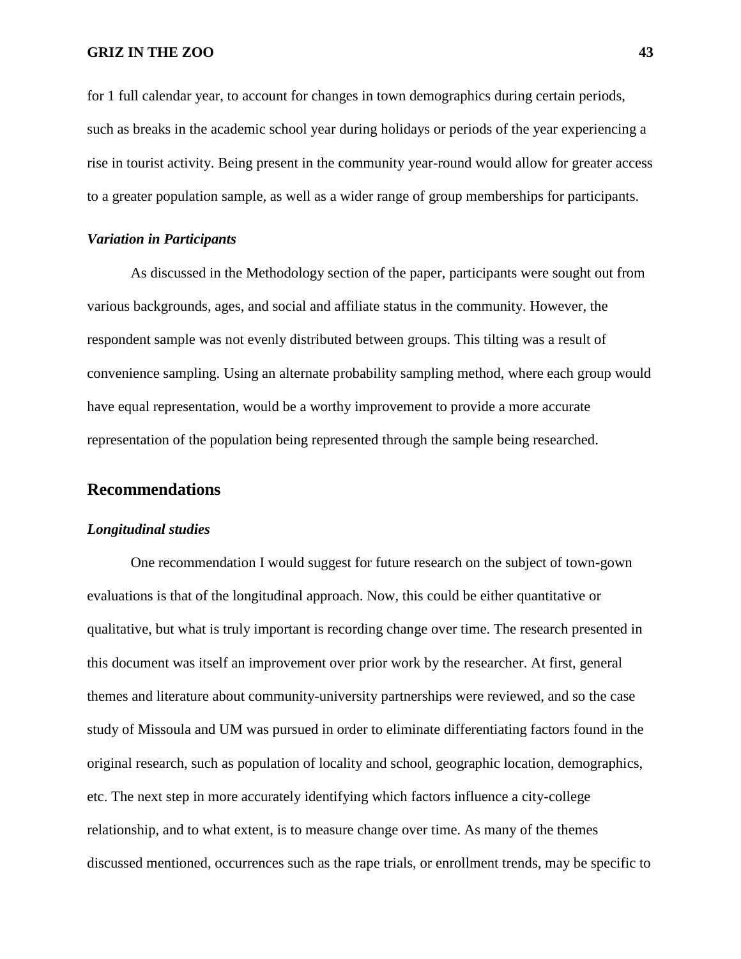for 1 full calendar year, to account for changes in town demographics during certain periods, such as breaks in the academic school year during holidays or periods of the year experiencing a rise in tourist activity. Being present in the community year-round would allow for greater access to a greater population sample, as well as a wider range of group memberships for participants.

## *Variation in Participants*

As discussed in the Methodology section of the paper, participants were sought out from various backgrounds, ages, and social and affiliate status in the community. However, the respondent sample was not evenly distributed between groups. This tilting was a result of convenience sampling. Using an alternate probability sampling method, where each group would have equal representation, would be a worthy improvement to provide a more accurate representation of the population being represented through the sample being researched.

## **Recommendations**

#### *Longitudinal studies*

One recommendation I would suggest for future research on the subject of town-gown evaluations is that of the longitudinal approach. Now, this could be either quantitative or qualitative, but what is truly important is recording change over time. The research presented in this document was itself an improvement over prior work by the researcher. At first, general themes and literature about community-university partnerships were reviewed, and so the case study of Missoula and UM was pursued in order to eliminate differentiating factors found in the original research, such as population of locality and school, geographic location, demographics, etc. The next step in more accurately identifying which factors influence a city-college relationship, and to what extent, is to measure change over time. As many of the themes discussed mentioned, occurrences such as the rape trials, or enrollment trends, may be specific to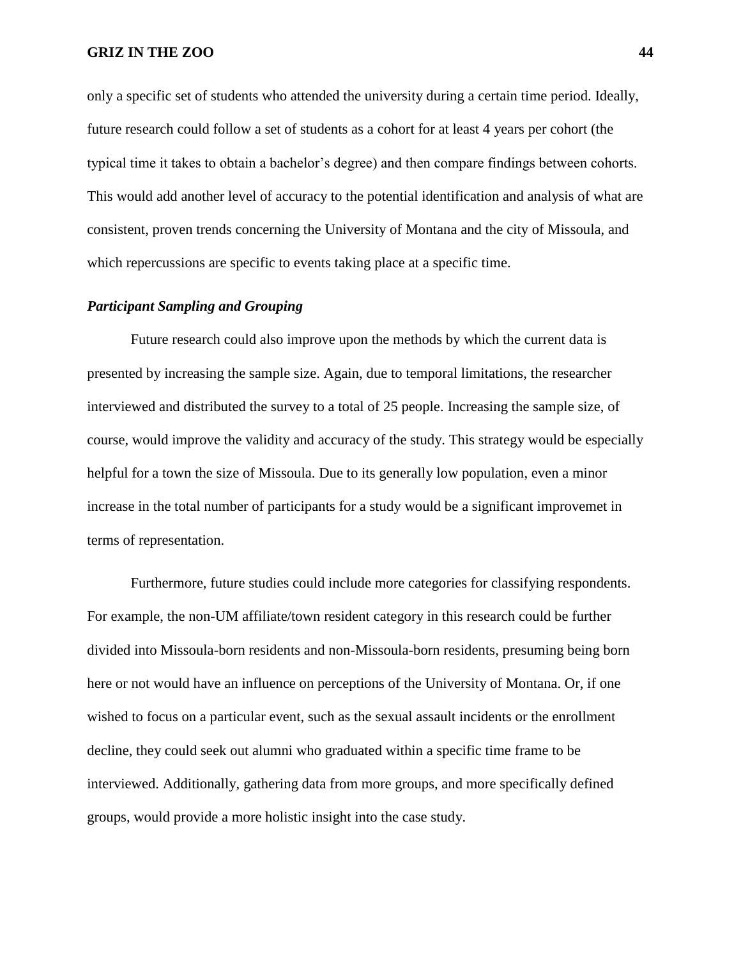only a specific set of students who attended the university during a certain time period. Ideally, future research could follow a set of students as a cohort for at least 4 years per cohort (the typical time it takes to obtain a bachelor's degree) and then compare findings between cohorts. This would add another level of accuracy to the potential identification and analysis of what are consistent, proven trends concerning the University of Montana and the city of Missoula, and which repercussions are specific to events taking place at a specific time.

## *Participant Sampling and Grouping*

Future research could also improve upon the methods by which the current data is presented by increasing the sample size. Again, due to temporal limitations, the researcher interviewed and distributed the survey to a total of 25 people. Increasing the sample size, of course, would improve the validity and accuracy of the study. This strategy would be especially helpful for a town the size of Missoula. Due to its generally low population, even a minor increase in the total number of participants for a study would be a significant improvemet in terms of representation.

Furthermore, future studies could include more categories for classifying respondents. For example, the non-UM affiliate/town resident category in this research could be further divided into Missoula-born residents and non-Missoula-born residents, presuming being born here or not would have an influence on perceptions of the University of Montana. Or, if one wished to focus on a particular event, such as the sexual assault incidents or the enrollment decline, they could seek out alumni who graduated within a specific time frame to be interviewed. Additionally, gathering data from more groups, and more specifically defined groups, would provide a more holistic insight into the case study.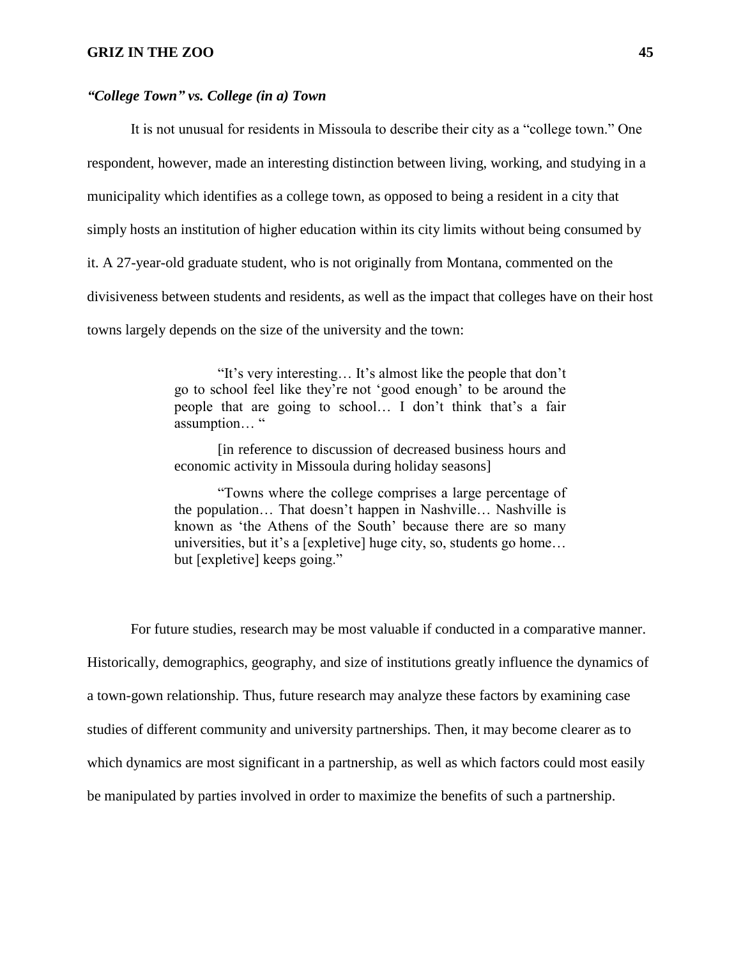#### *"College Town" vs. College (in a) Town*

It is not unusual for residents in Missoula to describe their city as a "college town." One respondent, however, made an interesting distinction between living, working, and studying in a municipality which identifies as a college town, as opposed to being a resident in a city that simply hosts an institution of higher education within its city limits without being consumed by it. A 27-year-old graduate student, who is not originally from Montana, commented on the divisiveness between students and residents, as well as the impact that colleges have on their host towns largely depends on the size of the university and the town:

> "It's very interesting… It's almost like the people that don't go to school feel like they're not 'good enough' to be around the people that are going to school… I don't think that's a fair assumption… "

> [in reference to discussion of decreased business hours and economic activity in Missoula during holiday seasons]

> "Towns where the college comprises a large percentage of the population… That doesn't happen in Nashville… Nashville is known as 'the Athens of the South' because there are so many universities, but it's a [expletive] huge city, so, students go home… but [expletive] keeps going."

For future studies, research may be most valuable if conducted in a comparative manner. Historically, demographics, geography, and size of institutions greatly influence the dynamics of a town-gown relationship. Thus, future research may analyze these factors by examining case studies of different community and university partnerships. Then, it may become clearer as to which dynamics are most significant in a partnership, as well as which factors could most easily be manipulated by parties involved in order to maximize the benefits of such a partnership.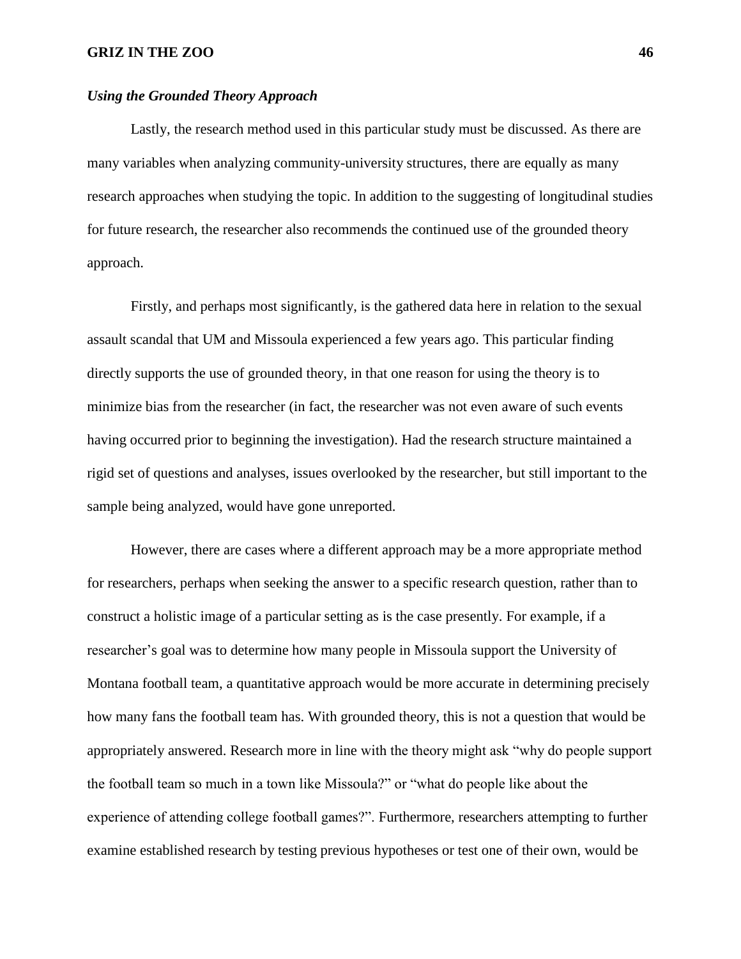#### *Using the Grounded Theory Approach*

Lastly, the research method used in this particular study must be discussed. As there are many variables when analyzing community-university structures, there are equally as many research approaches when studying the topic. In addition to the suggesting of longitudinal studies for future research, the researcher also recommends the continued use of the grounded theory approach.

Firstly, and perhaps most significantly, is the gathered data here in relation to the sexual assault scandal that UM and Missoula experienced a few years ago. This particular finding directly supports the use of grounded theory, in that one reason for using the theory is to minimize bias from the researcher (in fact, the researcher was not even aware of such events having occurred prior to beginning the investigation). Had the research structure maintained a rigid set of questions and analyses, issues overlooked by the researcher, but still important to the sample being analyzed, would have gone unreported.

However, there are cases where a different approach may be a more appropriate method for researchers, perhaps when seeking the answer to a specific research question, rather than to construct a holistic image of a particular setting as is the case presently. For example, if a researcher's goal was to determine how many people in Missoula support the University of Montana football team, a quantitative approach would be more accurate in determining precisely how many fans the football team has. With grounded theory, this is not a question that would be appropriately answered. Research more in line with the theory might ask "why do people support the football team so much in a town like Missoula?" or "what do people like about the experience of attending college football games?". Furthermore, researchers attempting to further examine established research by testing previous hypotheses or test one of their own, would be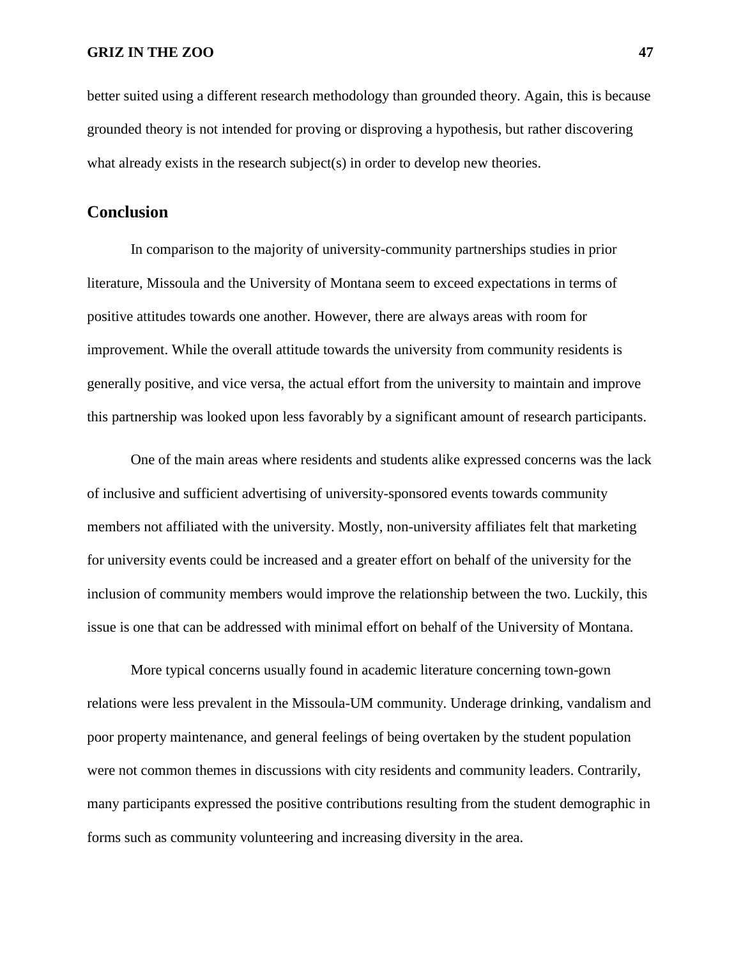better suited using a different research methodology than grounded theory. Again, this is because grounded theory is not intended for proving or disproving a hypothesis, but rather discovering what already exists in the research subject(s) in order to develop new theories.

## **Conclusion**

In comparison to the majority of university-community partnerships studies in prior literature, Missoula and the University of Montana seem to exceed expectations in terms of positive attitudes towards one another. However, there are always areas with room for improvement. While the overall attitude towards the university from community residents is generally positive, and vice versa, the actual effort from the university to maintain and improve this partnership was looked upon less favorably by a significant amount of research participants.

One of the main areas where residents and students alike expressed concerns was the lack of inclusive and sufficient advertising of university-sponsored events towards community members not affiliated with the university. Mostly, non-university affiliates felt that marketing for university events could be increased and a greater effort on behalf of the university for the inclusion of community members would improve the relationship between the two. Luckily, this issue is one that can be addressed with minimal effort on behalf of the University of Montana.

More typical concerns usually found in academic literature concerning town-gown relations were less prevalent in the Missoula-UM community. Underage drinking, vandalism and poor property maintenance, and general feelings of being overtaken by the student population were not common themes in discussions with city residents and community leaders. Contrarily, many participants expressed the positive contributions resulting from the student demographic in forms such as community volunteering and increasing diversity in the area.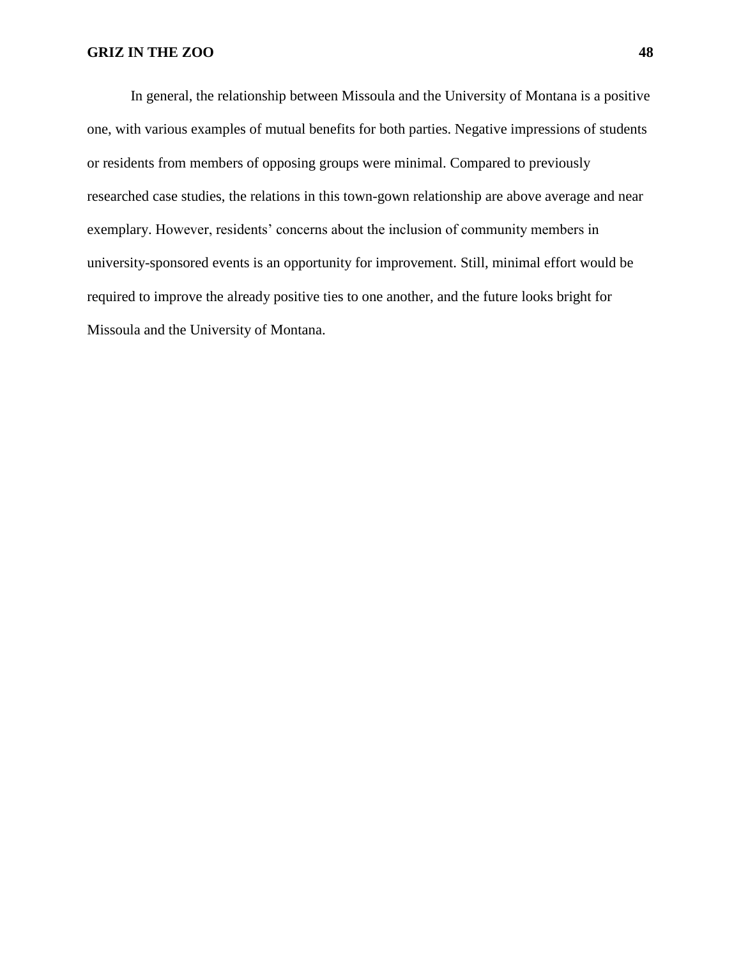In general, the relationship between Missoula and the University of Montana is a positive one, with various examples of mutual benefits for both parties. Negative impressions of students or residents from members of opposing groups were minimal. Compared to previously researched case studies, the relations in this town-gown relationship are above average and near exemplary. However, residents' concerns about the inclusion of community members in university-sponsored events is an opportunity for improvement. Still, minimal effort would be required to improve the already positive ties to one another, and the future looks bright for Missoula and the University of Montana.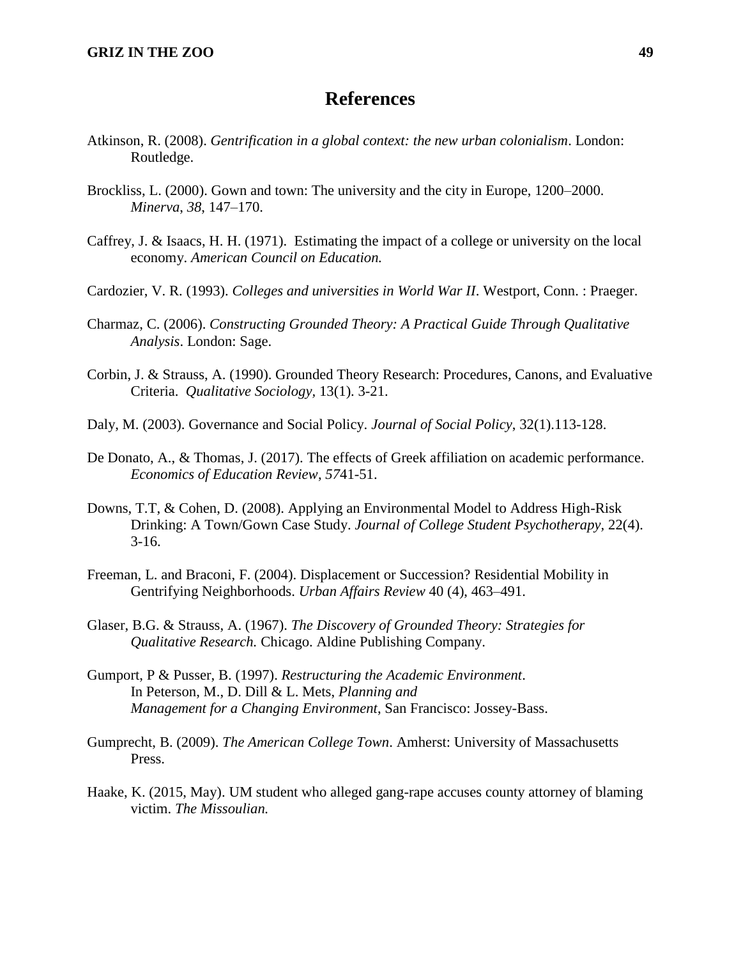## **References**

- Atkinson, R. (2008). *Gentrification in a global context: the new urban colonialism*. London: Routledge.
- Brockliss, L. (2000). Gown and town: The university and the city in Europe, 1200–2000. *Minerva*, *38*, 147–170.
- Caffrey, J. & Isaacs, H. H. (1971). Estimating the impact of a college or university on the local economy. *American Council on Education.*
- Cardozier, V. R. (1993). *Colleges and universities in World War II*. Westport, Conn. : Praeger.
- Charmaz, C. (2006). *Constructing Grounded Theory: A Practical Guide Through Qualitative Analysis*. London: Sage.
- Corbin, J. & Strauss, A. (1990). Grounded Theory Research: Procedures, Canons, and Evaluative Criteria. *Qualitative Sociology,* 13(1). 3-21.
- Daly, M. (2003). Governance and Social Policy. *Journal of Social Policy*, 32(1).113-128.
- De Donato, A., & Thomas, J. (2017). The effects of Greek affiliation on academic performance. *Economics of Education Review*, *57*41-51.
- Downs, T.T, & Cohen, D. (2008). Applying an Environmental Model to Address High-Risk Drinking: A Town/Gown Case Study. *Journal of College Student Psychotherapy,* 22(4). 3-16.
- Freeman, L. and Braconi, F. (2004). Displacement or Succession? Residential Mobility in Gentrifying Neighborhoods. *Urban Affairs Review* 40 (4), 463–491.
- Glaser, B.G. & Strauss, A. (1967). *The Discovery of Grounded Theory: Strategies for Qualitative Research.* Chicago. Aldine Publishing Company.
- Gumport, P & Pusser, B. (1997). *Restructuring the Academic Environment*. In Peterson, M., D. Dill & L. Mets, *Planning and Management for a Changing Environment*, San Francisco: Jossey-Bass.
- Gumprecht, B. (2009). *The American College Town*. Amherst: University of Massachusetts Press.
- Haake, K. (2015, May). UM student who alleged gang-rape accuses county attorney of blaming victim. *The Missoulian.*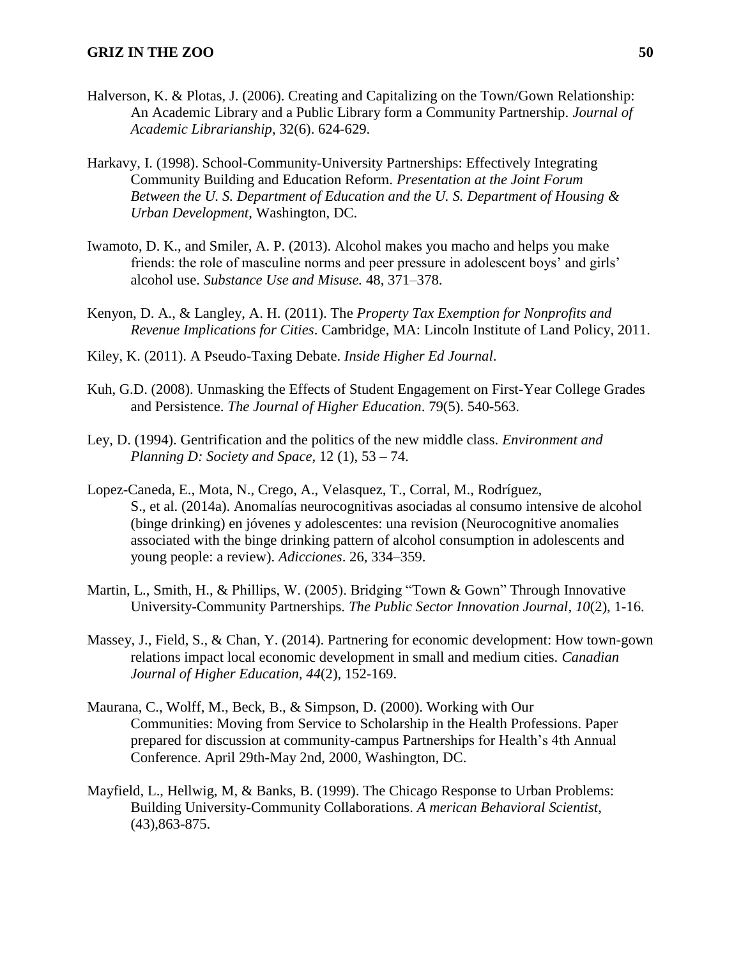- Halverson, K. & Plotas, J. (2006). Creating and Capitalizing on the Town/Gown Relationship: An Academic Library and a Public Library form a Community Partnership. *Journal of Academic Librarianship*, 32(6). 624-629.
- Harkavy, I. (1998). School-Community-University Partnerships: Effectively Integrating Community Building and Education Reform. *Presentation at the Joint Forum Between the U. S. Department of Education and the U. S. Department of Housing & Urban Development*, Washington, DC.
- Iwamoto, D. K., and Smiler, A. P. (2013). Alcohol makes you macho and helps you make friends: the role of masculine norms and peer pressure in adolescent boys' and girls' alcohol use. *Substance Use and Misuse.* 48, 371–378.
- Kenyon, D. A., & Langley, A. H. (2011). The *Property Tax Exemption for Nonprofits and Revenue Implications for Cities*. Cambridge, MA: Lincoln Institute of Land Policy, 2011.
- Kiley, K. (2011). A Pseudo-Taxing Debate. *Inside Higher Ed Journal*.
- Kuh, G.D. (2008). Unmasking the Effects of Student Engagement on First-Year College Grades and Persistence. *The Journal of Higher Education*. 79(5). 540-563.
- Ley, D. (1994). Gentrification and the politics of the new middle class. *Environment and Planning D: Society and Space*, 12 (1), 53 – 74.
- Lopez-Caneda, E., Mota, N., Crego, A., Velasquez, T., Corral, M., Rodríguez, S., et al. (2014a). Anomalías neurocognitivas asociadas al consumo intensive de alcohol (binge drinking) en jóvenes y adolescentes: una revision (Neurocognitive anomalies associated with the binge drinking pattern of alcohol consumption in adolescents and young people: a review). *Adicciones*. 26, 334–359.
- Martin, L., Smith, H., & Phillips, W. (2005). Bridging "Town & Gown" Through Innovative University-Community Partnerships. *The Public Sector Innovation Journal, 10*(2), 1-16.
- Massey, J., Field, S., & Chan, Y. (2014). Partnering for economic development: How town-gown relations impact local economic development in small and medium cities. *Canadian Journal of Higher Education, 44*(2), 152-169.
- Maurana, C., Wolff, M., Beck, B., & Simpson, D. (2000). Working with Our Communities: Moving from Service to Scholarship in the Health Professions. Paper prepared for discussion at community-campus Partnerships for Health's 4th Annual Conference. April 29th-May 2nd, 2000, Washington, DC.
- Mayfield, L., Hellwig, M, & Banks, B. (1999). The Chicago Response to Urban Problems: Building University-Community Collaborations. *A merican Behavioral Scientist*, (43),863-875.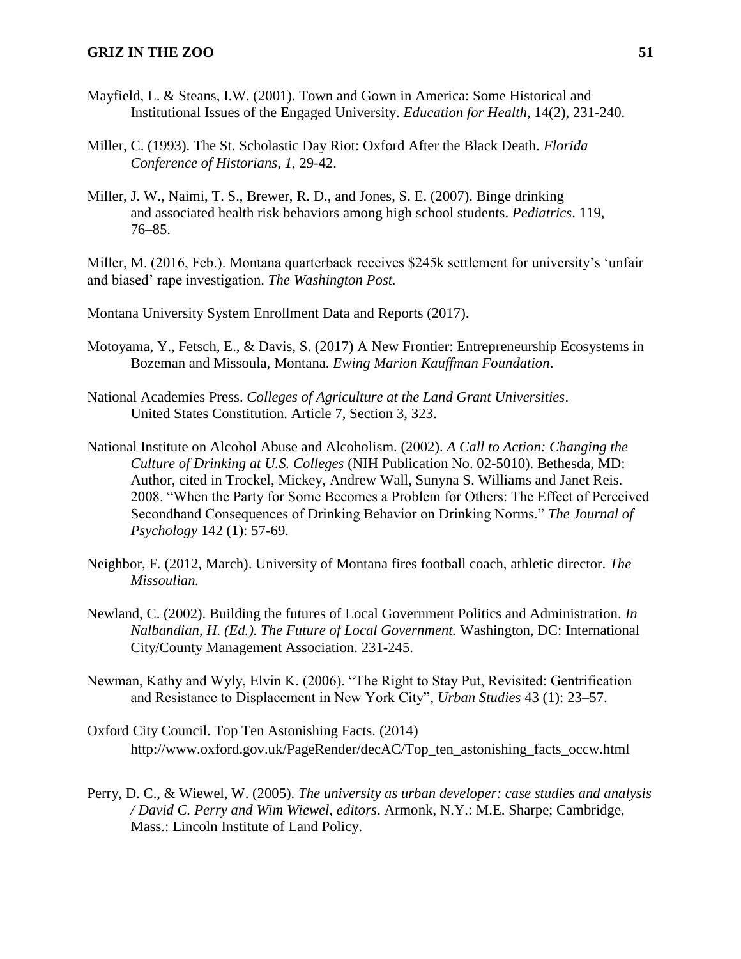- Mayfield, L. & Steans, I.W. (2001). Town and Gown in America: Some Historical and Institutional Issues of the Engaged University. *Education for Health*, 14(2), 231-240.
- Miller, C. (1993). The St. Scholastic Day Riot: Oxford After the Black Death. *Florida Conference of Historians, 1*, 29-42.
- Miller, J. W., Naimi, T. S., Brewer, R. D., and Jones, S. E. (2007). Binge drinking and associated health risk behaviors among high school students. *Pediatrics*. 119, 76–85.

Miller, M. (2016, Feb.). Montana quarterback receives \$245k settlement for university's 'unfair and biased' rape investigation. *The Washington Post.*

Montana University System Enrollment Data and Reports (2017).

- Motoyama, Y., Fetsch, E., & Davis, S. (2017) A New Frontier: Entrepreneurship Ecosystems in Bozeman and Missoula, Montana. *Ewing Marion Kauffman Foundation*.
- National Academies Press. *Colleges of Agriculture at the Land Grant Universities*. United States Constitution. Article 7, Section 3, 323.
- National Institute on Alcohol Abuse and Alcoholism. (2002). *A Call to Action: Changing the Culture of Drinking at U.S. Colleges* (NIH Publication No. 02-5010). Bethesda, MD: Author, cited in Trockel, Mickey, Andrew Wall, Sunyna S. Williams and Janet Reis. 2008. "When the Party for Some Becomes a Problem for Others: The Effect of Perceived Secondhand Consequences of Drinking Behavior on Drinking Norms." *The Journal of Psychology* 142 (1): 57-69.
- Neighbor, F. (2012, March). University of Montana fires football coach, athletic director. *The Missoulian.*
- Newland, C. (2002). Building the futures of Local Government Politics and Administration. *In Nalbandian, H. (Ed.). The Future of Local Government.* Washington, DC: International City/County Management Association. 231-245.
- Newman, Kathy and Wyly, Elvin K. (2006). "The Right to Stay Put, Revisited: Gentrification and Resistance to Displacement in New York City", *Urban Studies* 43 (1): 23–57.
- Oxford City Council. Top Ten Astonishing Facts. (2014) http://www.oxford.gov.uk/PageRender/decAC/Top\_ten\_astonishing\_facts\_occw.html
- Perry, D. C., & Wiewel, W. (2005). *The university as urban developer: case studies and analysis / David C. Perry and Wim Wiewel, editors*. Armonk, N.Y.: M.E. Sharpe; Cambridge, Mass.: Lincoln Institute of Land Policy.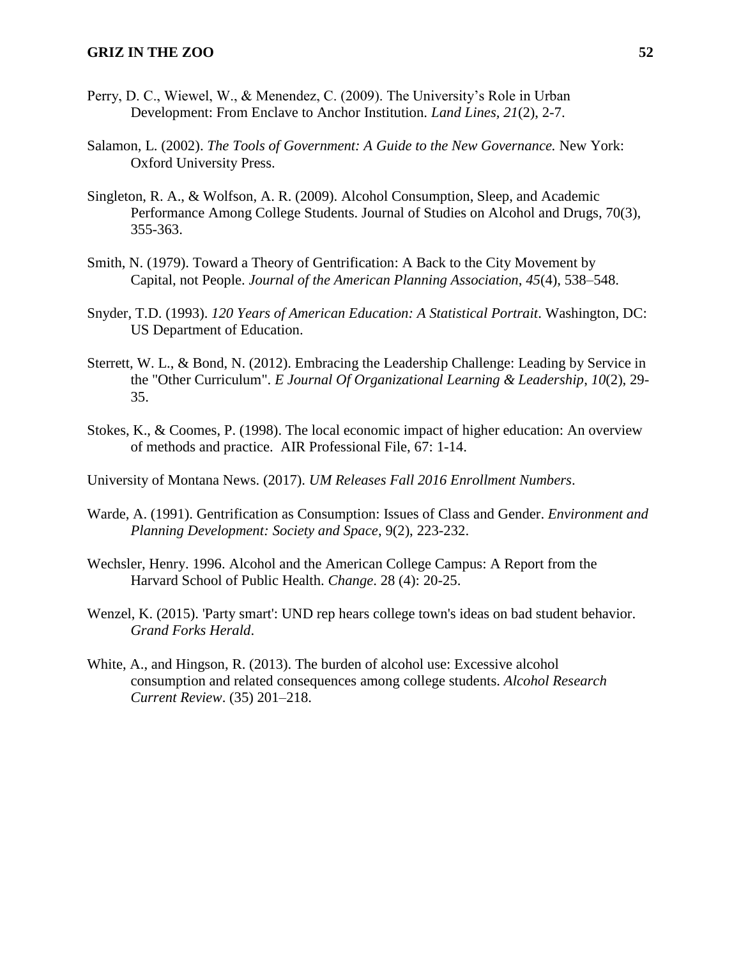- Perry, D. C., Wiewel, W., & Menendez, C. (2009). The University's Role in Urban Development: From Enclave to Anchor Institution. *Land Lines, 21*(2), 2-7.
- Salamon, L. (2002). *The Tools of Government: A Guide to the New Governance.* New York: Oxford University Press.
- Singleton, R. A., & Wolfson, A. R. (2009). Alcohol Consumption, Sleep, and Academic Performance Among College Students. Journal of Studies on Alcohol and Drugs, 70(3), 355-363.
- Smith, N. (1979). Toward a Theory of Gentrification: A Back to the City Movement by Capital, not People. *Journal of the American Planning Association*, *45*(4), 538–548.
- Snyder, T.D. (1993). *120 Years of American Education: A Statistical Portrait*. Washington, DC: US Department of Education.
- Sterrett, W. L., & Bond, N. (2012). Embracing the Leadership Challenge: Leading by Service in the "Other Curriculum". *E Journal Of Organizational Learning & Leadership*, *10*(2), 29- 35.
- Stokes, K., & Coomes, P. (1998). The local economic impact of higher education: An overview of methods and practice. AIR Professional File, 67: 1-14.

University of Montana News. (2017). *UM Releases Fall 2016 Enrollment Numbers*.

- Warde, A. (1991). Gentrification as Consumption: Issues of Class and Gender. *Environment and Planning Development: Society and Space*, 9(2), 223-232.
- Wechsler, Henry. 1996. Alcohol and the American College Campus: A Report from the Harvard School of Public Health. *Change*. 28 (4): 20-25.
- Wenzel, K. (2015). 'Party smart': UND rep hears college town's ideas on bad student behavior. *Grand Forks Herald*.
- White, A., and Hingson, R. (2013). The burden of alcohol use: Excessive alcohol consumption and related consequences among college students. *Alcohol Research Current Review*. (35) 201–218.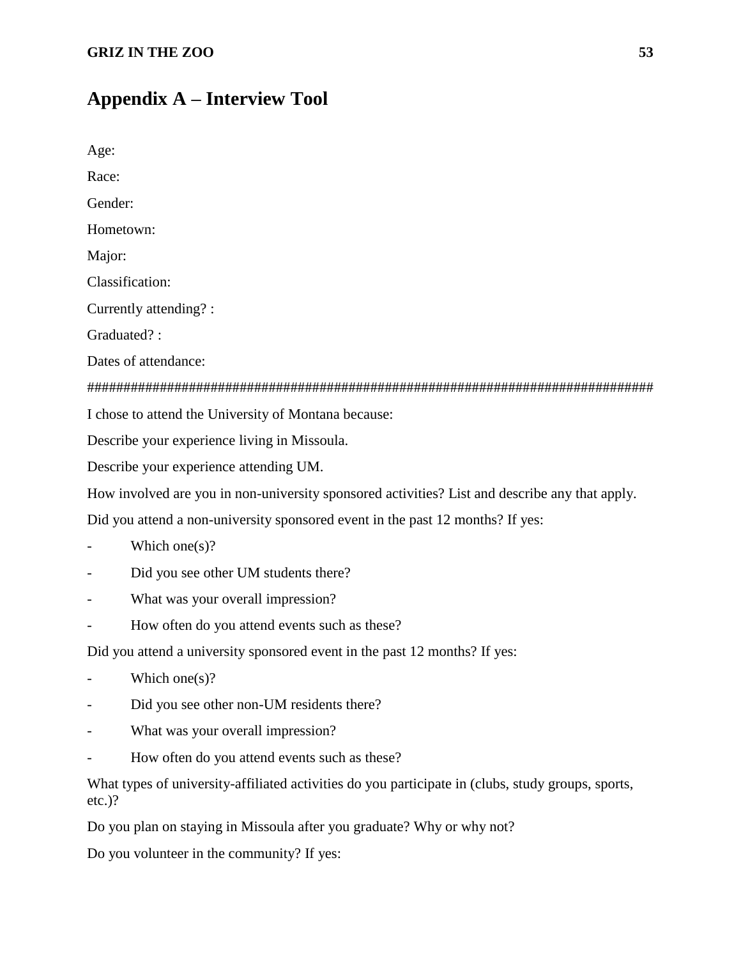# **Appendix A – Interview Tool**

| Age:      |                                                                                                    |
|-----------|----------------------------------------------------------------------------------------------------|
| Race:     |                                                                                                    |
| Gender:   |                                                                                                    |
|           | Hometown:                                                                                          |
| Major:    |                                                                                                    |
|           | Classification:                                                                                    |
|           | Currently attending? :                                                                             |
|           | Graduated?:                                                                                        |
|           | Dates of attendance:                                                                               |
|           |                                                                                                    |
|           | I chose to attend the University of Montana because:                                               |
|           | Describe your experience living in Missoula.                                                       |
|           | Describe your experience attending UM.                                                             |
|           | How involved are you in non-university sponsored activities? List and describe any that apply.     |
|           | Did you attend a non-university sponsored event in the past 12 months? If yes:                     |
|           | Which one $(s)$ ?                                                                                  |
|           | Did you see other UM students there?                                                               |
|           | What was your overall impression?                                                                  |
|           | How often do you attend events such as these?                                                      |
|           | Did you attend a university sponsored event in the past 12 months? If yes:                         |
|           | Which one(s)?                                                                                      |
|           | Did you see other non-UM residents there?                                                          |
| -         | What was your overall impression?                                                                  |
|           | How often do you attend events such as these?                                                      |
| $etc.$ )? | What types of university-affiliated activities do you participate in (clubs, study groups, sports, |
|           | Do you plan on staying in Missoula after you graduate? Why or why not?                             |
|           | Do you volunteer in the community? If yes:                                                         |
|           |                                                                                                    |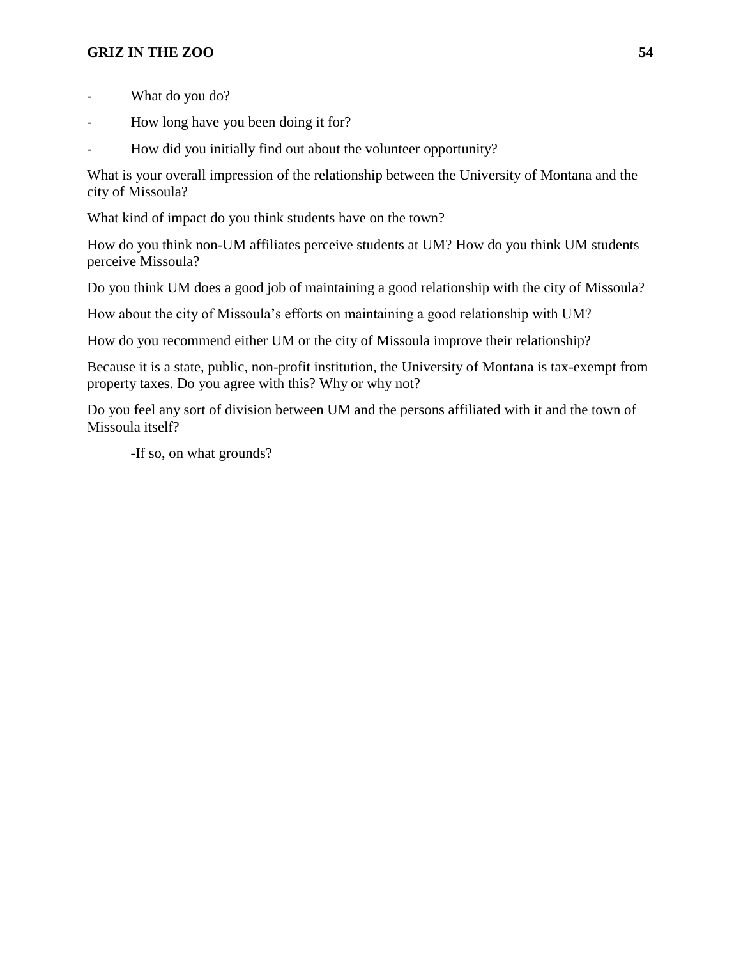- What do you do?
- How long have you been doing it for?
- How did you initially find out about the volunteer opportunity?

What is your overall impression of the relationship between the University of Montana and the city of Missoula?

What kind of impact do you think students have on the town?

How do you think non-UM affiliates perceive students at UM? How do you think UM students perceive Missoula?

Do you think UM does a good job of maintaining a good relationship with the city of Missoula?

How about the city of Missoula's efforts on maintaining a good relationship with UM?

How do you recommend either UM or the city of Missoula improve their relationship?

Because it is a state, public, non-profit institution, the University of Montana is tax-exempt from property taxes. Do you agree with this? Why or why not?

Do you feel any sort of division between UM and the persons affiliated with it and the town of Missoula itself?

-If so, on what grounds?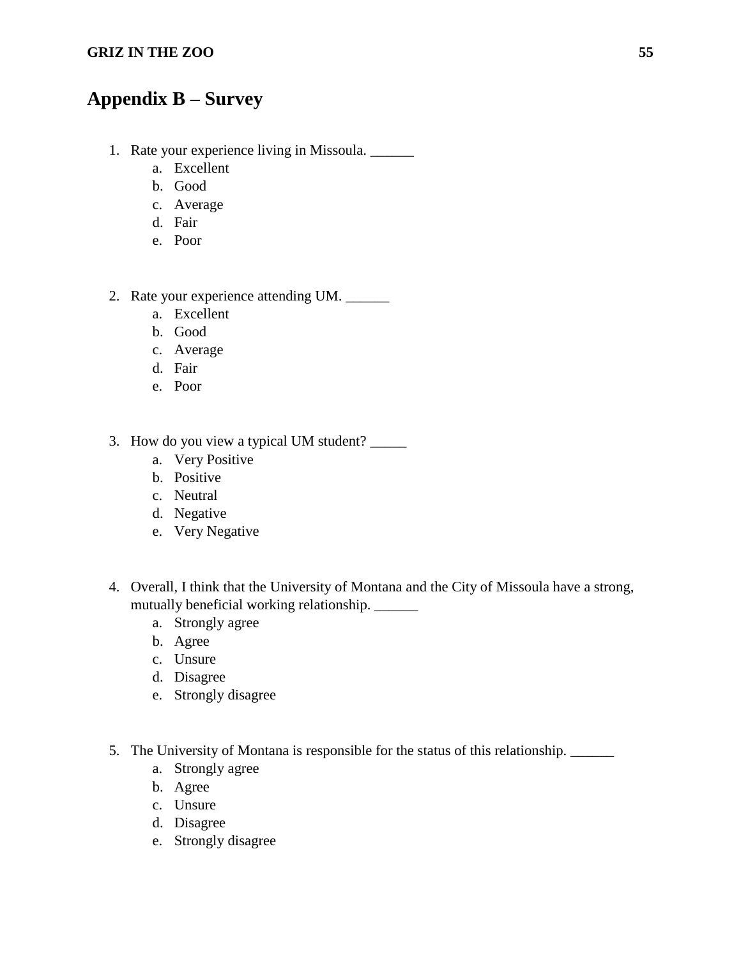# **Appendix B – Survey**

- 1. Rate your experience living in Missoula. \_\_\_\_\_\_
	- a. Excellent
	- b. Good
	- c. Average
	- d. Fair
	- e. Poor
- 2. Rate your experience attending UM.
	- a. Excellent
	- b. Good
	- c. Average
	- d. Fair
	- e. Poor
- 3. How do you view a typical UM student? \_\_\_\_\_
	- a. Very Positive
	- b. Positive
	- c. Neutral
	- d. Negative
	- e. Very Negative
- 4. Overall, I think that the University of Montana and the City of Missoula have a strong, mutually beneficial working relationship. \_\_\_\_\_\_
	- a. Strongly agree
	- b. Agree
	- c. Unsure
	- d. Disagree
	- e. Strongly disagree
- 5. The University of Montana is responsible for the status of this relationship. \_\_\_\_\_\_
	- a. Strongly agree
	- b. Agree
	- c. Unsure
	- d. Disagree
	- e. Strongly disagree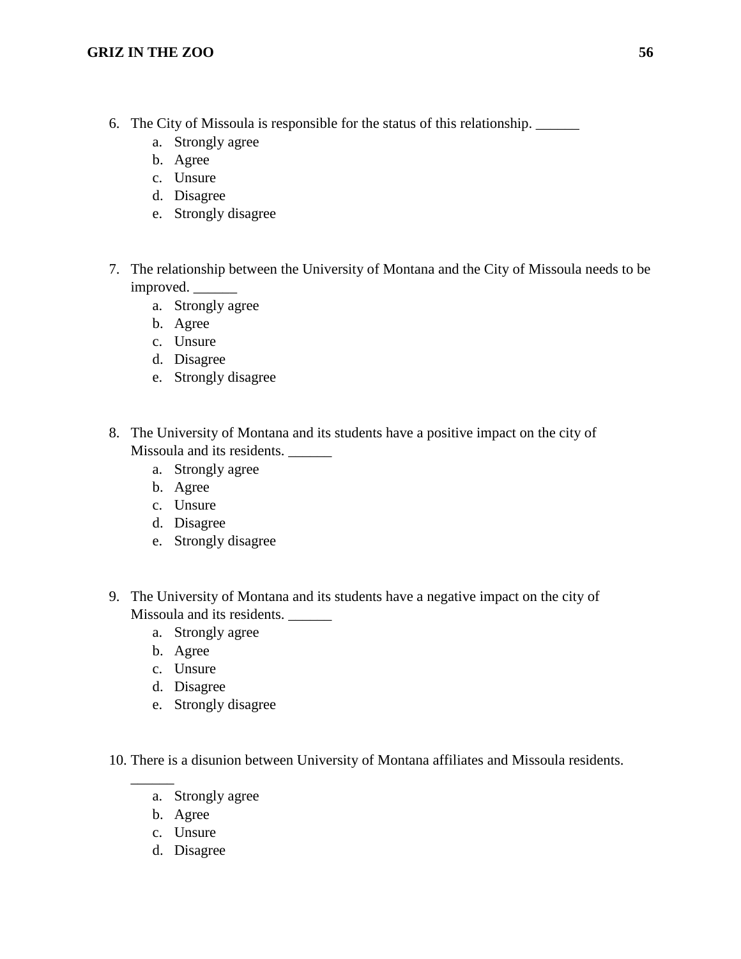- 6. The City of Missoula is responsible for the status of this relationship. \_\_\_\_\_\_
	- a. Strongly agree
	- b. Agree
	- c. Unsure
	- d. Disagree
	- e. Strongly disagree
- 7. The relationship between the University of Montana and the City of Missoula needs to be improved.
	- a. Strongly agree
	- b. Agree
	- c. Unsure
	- d. Disagree
	- e. Strongly disagree
- 8. The University of Montana and its students have a positive impact on the city of Missoula and its residents.
	- a. Strongly agree
	- b. Agree
	- c. Unsure
	- d. Disagree
	- e. Strongly disagree
- 9. The University of Montana and its students have a negative impact on the city of Missoula and its residents. \_\_\_\_\_\_
	- a. Strongly agree
	- b. Agree
	- c. Unsure
	- d. Disagree
	- e. Strongly disagree

10. There is a disunion between University of Montana affiliates and Missoula residents.

- a. Strongly agree
- b. Agree

\_\_\_\_\_\_

- c. Unsure
- d. Disagree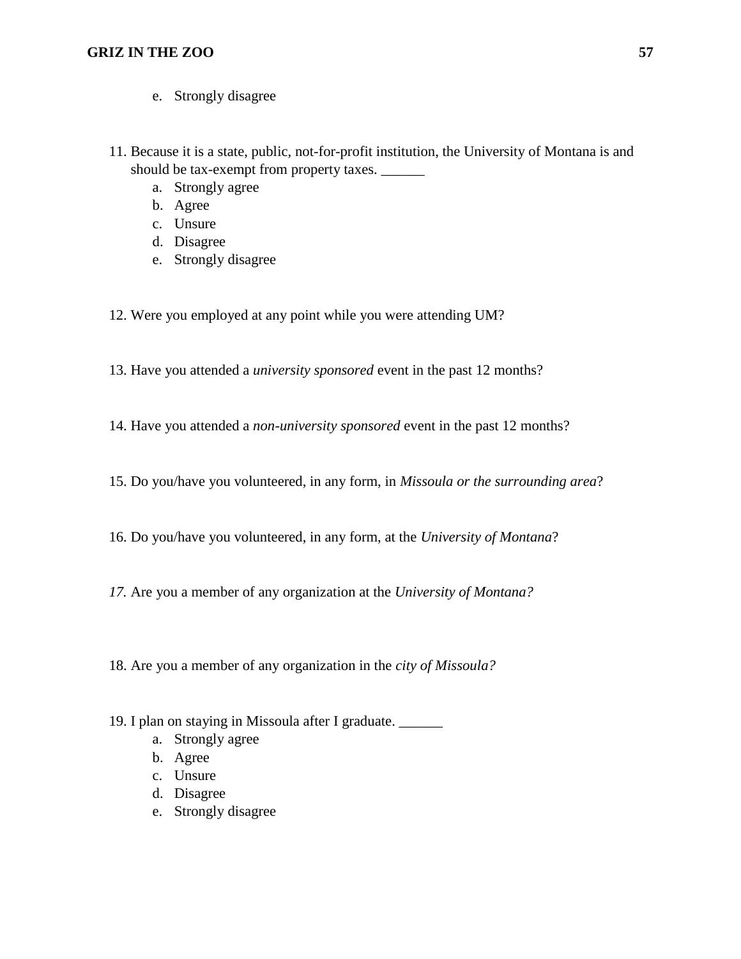- e. Strongly disagree
- 11. Because it is a state, public, not-for-profit institution, the University of Montana is and should be tax-exempt from property taxes. \_\_\_\_\_\_\_
	- a. Strongly agree
	- b. Agree
	- c. Unsure
	- d. Disagree
	- e. Strongly disagree
- 12. Were you employed at any point while you were attending UM?
- 13. Have you attended a *university sponsored* event in the past 12 months?
- 14. Have you attended a *non-university sponsored* event in the past 12 months?
- 15. Do you/have you volunteered, in any form, in *Missoula or the surrounding area*?
- 16. Do you/have you volunteered, in any form, at the *University of Montana*?
- *17.* Are you a member of any organization at the *University of Montana?*
- 18. Are you a member of any organization in the *city of Missoula?*
- 19. I plan on staying in Missoula after I graduate. \_\_\_\_\_\_
	- a. Strongly agree
	- b. Agree
	- c. Unsure
	- d. Disagree
	- e. Strongly disagree